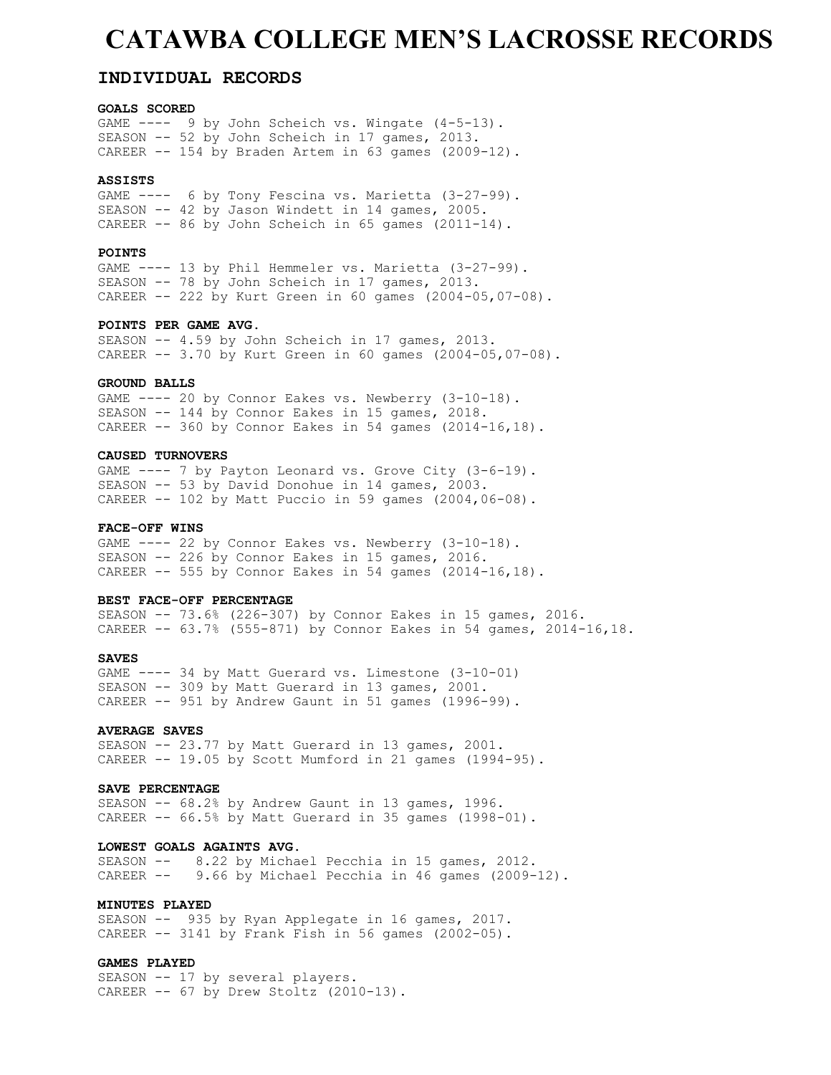## **CATAWBA COLLEGE MEN'S LACROSSE RECORDS**

#### **INDIVIDUAL RECORDS**

#### **GOALS SCORED**

GAME ---- 9 by John Scheich vs. Wingate (4-5-13). SEASON -- 52 by John Scheich in 17 games, 2013. CAREER -- 154 by Braden Artem in 63 games (2009-12).

#### **ASSISTS**

GAME ---- 6 by Tony Fescina vs. Marietta (3-27-99). SEASON -- 42 by Jason Windett in 14 games, 2005. CAREER -- 86 by John Scheich in 65 games (2011-14).

#### **POINTS**

GAME ---- 13 by Phil Hemmeler vs. Marietta (3-27-99). SEASON -- 78 by John Scheich in 17 games, 2013. <code>CAREER -- 222 by Kurt Green in 60 games (2004-05,07-08)</code>.

#### **POINTS PER GAME AVG.**

SEASON -- 4.59 by John Scheich in 17 games, 2013. CAREER -- 3.70 by Kurt Green in 60 games (2004-05,07-08).

#### **GROUND BALLS**

GAME ---- 20 by Connor Eakes vs. Newberry (3-10-18). SEASON -- 144 by Connor Eakes in 15 games, 2018. CAREER -- 360 by Connor Eakes in 54 games (2014-16,18).

#### **CAUSED TURNOVERS**

GAME ---- 7 by Payton Leonard vs. Grove City (3-6-19). SEASON -- 53 by David Donohue in 14 games, 2003. CAREER -- 102 by Matt Puccio in 59 games (2004,06-08).

#### **FACE-OFF WINS**

GAME ---- 22 by Connor Eakes vs. Newberry (3-10-18). SEASON -- 226 by Connor Eakes in 15 games, 2016. CAREER -- 555 by Connor Eakes in 54 games (2014-16,18).

#### **BEST FACE-OFF PERCENTAGE**

SEASON -- 73.6% (226-307) by Connor Eakes in 15 games, 2016. CAREER  $-- 63.7$ % (555-871) by Connor Eakes in 54 games, 2014-16,18.

#### **SAVES**

GAME ---- 34 by Matt Guerard vs. Limestone (3-10-01) SEASON -- 309 by Matt Guerard in 13 games, 2001. CAREER -- 951 by Andrew Gaunt in 51 games (1996-99).

#### **AVERAGE SAVES**

SEASON -- 23.77 by Matt Guerard in 13 games, 2001. CAREER -- 19.05 by Scott Mumford in 21 games (1994-95).

#### **SAVE PERCENTAGE**

SEASON -- 68.2% by Andrew Gaunt in 13 games, 1996. CAREER  $-$ - 66.5% by Matt Guerard in 35 games (1998-01).

#### **LOWEST GOALS AGAINTS AVG.**

SEASON -- 8.22 by Michael Pecchia in 15 games, 2012. CAREER -- 9.66 by Michael Pecchia in 46 games (2009-12).

#### **MINUTES PLAYED**

SEASON -- 935 by Ryan Applegate in 16 games, 2017. CAREER -- 3141 by Frank Fish in 56 games (2002-05).

#### **GAMES PLAYED**

SEASON -- 17 by several players. CAREER -- 67 by Drew Stoltz (2010-13).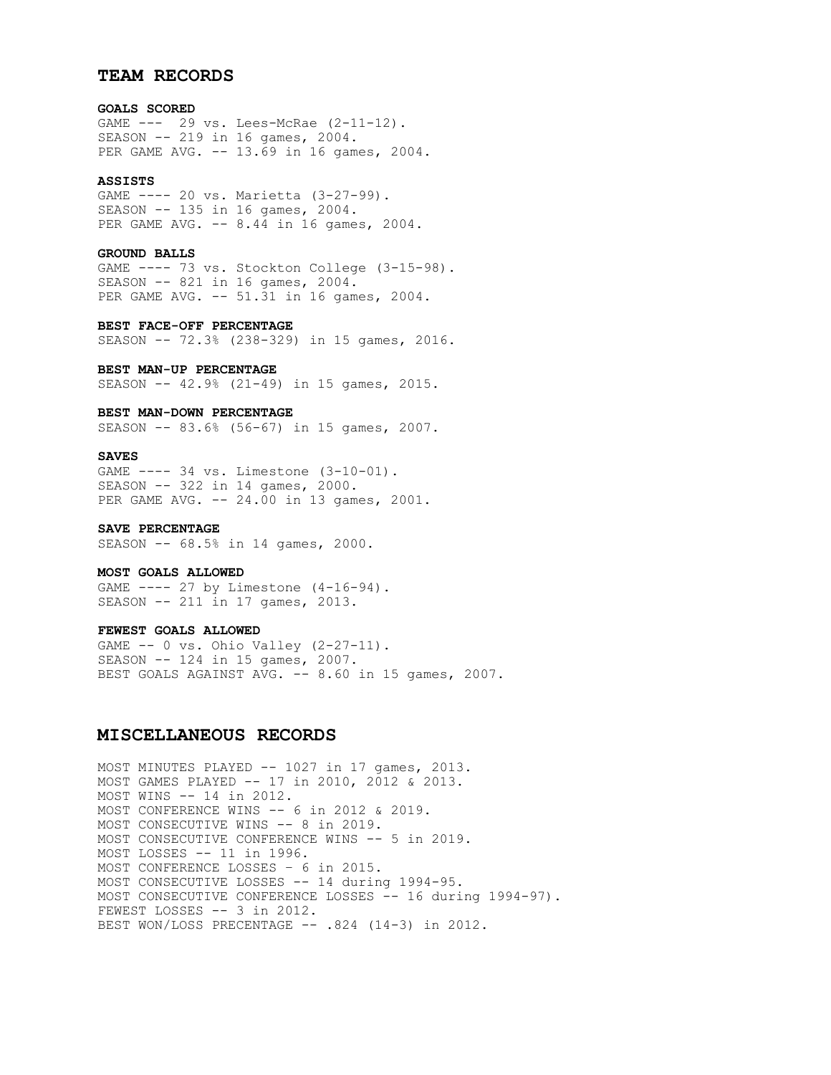#### **TEAM RECORDS**

#### **GOALS SCORED**

GAME --- 29 vs. Lees-McRae (2-11-12). SEASON -- 219 in 16 games, 2004. PER GAME AVG. -- 13.69 in 16 games, 2004.

#### **ASSISTS**

GAME ---- 20 vs. Marietta (3-27-99). SEASON -- 135 in 16 games, 2004. PER GAME AVG. -- 8.44 in 16 games, 2004.

#### **GROUND BALLS**

GAME ---- 73 vs. Stockton College (3-15-98). SEASON -- 821 in 16 games, 2004. PER GAME AVG. -- 51.31 in 16 games, 2004.

#### **BEST FACE-OFF PERCENTAGE**

SEASON -- 72.3% (238-329) in 15 games, 2016.

#### **BEST MAN-UP PERCENTAGE**

SEASON -- 42.9% (21-49) in 15 games, 2015.

#### **BEST MAN-DOWN PERCENTAGE**

SEASON -- 83.6% (56-67) in 15 games, 2007.

#### **SAVES**

GAME ---- 34 vs. Limestone (3-10-01). SEASON -- 322 in 14 games, 2000. PER GAME AVG. -- 24.00 in 13 games, 2001.

#### **SAVE PERCENTAGE**

SEASON -- 68.5% in 14 games, 2000.

#### **MOST GOALS ALLOWED**

GAME ---- 27 by Limestone (4-16-94). SEASON -- 211 in 17 games, 2013.

#### **FEWEST GOALS ALLOWED**

GAME -- 0 vs. Ohio Valley (2-27-11). SEASON -- 124 in 15 games, 2007. BEST GOALS AGAINST AVG. -- 8.60 in 15 games, 2007.

#### **MISCELLANEOUS RECORDS**

MOST MINUTES PLAYED -- 1027 in 17 games, 2013. MOST GAMES PLAYED -- 17 in 2010, 2012 & 2013. MOST WINS -- 14 in 2012. MOST CONFERENCE WINS -- 6 in 2012 & 2019. MOST CONSECUTIVE WINS -- 8 in 2019. MOST CONSECUTIVE CONFERENCE WINS -- 5 in 2019. MOST LOSSES -- 11 in 1996. MOST CONFERENCE LOSSES – 6 in 2015. MOST CONSECUTIVE LOSSES -- 14 during 1994-95. MOST CONSECUTIVE CONFERENCE LOSSES -- 16 during 1994-97). FEWEST LOSSES -- 3 in 2012. BEST WON/LOSS PRECENTAGE -- .824 (14-3) in 2012.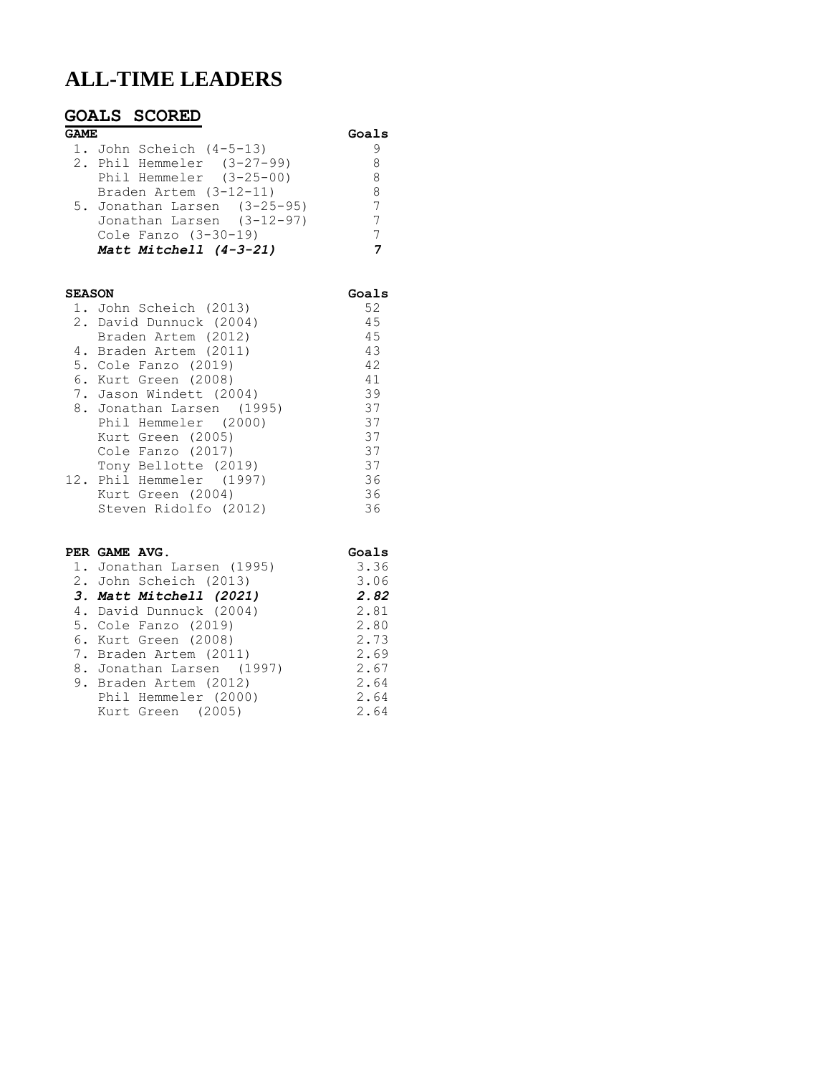## **ALL-TIME LEADERS**

### **GOALS SCORED GAME Goals** 1. John Scheich (4-5-13) 9 2. Phil Hemmeler (3-27-99) 8 Phil Hemmeler (3-25-00) 8 Braden Artem (3-12-11) 8 5. Jonathan Larsen (3-25-95) 7 Jonathan Larsen (3-12-97) 7 Cole Fanzo (3-30-19) 7  *Matt Mitchell (4-3-21) 7*

| <b>SEASON</b>             |     |
|---------------------------|-----|
| 1. John Scheich (2013)    | 52  |
| 2. David Dunnuck (2004)   | 45  |
| Braden Artem (2012)       | 4.5 |
| 4. Braden Artem (2011)    | 43  |
| 5. Cole Fanzo (2019)      | 42  |
| 6. Kurt Green (2008)      | 41  |
| 7. Jason Windett (2004)   | 39  |
| 8. Jonathan Larsen (1995) | 37  |
| Phil Hemmeler (2000)      | 37  |
| Kurt Green (2005)         | 37  |
| Cole Fanzo (2017)         | 37  |
| Tony Bellotte (2019)      | 37  |
| 12. Phil Hemmeler (1997)  | 36  |
| Kurt Green (2004)         | 36  |
| Steven Ridolfo (2012)     | 36  |

### **PER GAME AVG. Goals**<br>1 **Ionathan Jargen** (1995) 3.36 1. Jonatha

|                      | 3.36                                                                                                                                                                                                                                       |
|----------------------|--------------------------------------------------------------------------------------------------------------------------------------------------------------------------------------------------------------------------------------------|
|                      | 3.06                                                                                                                                                                                                                                       |
|                      | 2.82                                                                                                                                                                                                                                       |
|                      | 2.81                                                                                                                                                                                                                                       |
|                      | 2.80                                                                                                                                                                                                                                       |
|                      | 2.73                                                                                                                                                                                                                                       |
|                      | 2.69                                                                                                                                                                                                                                       |
|                      | 2.67                                                                                                                                                                                                                                       |
|                      | 2.64                                                                                                                                                                                                                                       |
| Phil Hemmeler (2000) | 2.64                                                                                                                                                                                                                                       |
| Kurt Green (2005)    | 2.64                                                                                                                                                                                                                                       |
|                      | I. Jonathan Larsen (1995)<br>2. John Scheich (2013)<br>3. Matt Mitchell (2021)<br>4. David Dunnuck (2004)<br>5. Cole Fanzo (2019)<br>6. Kurt Green (2008)<br>7. Braden Artem (2011)<br>8. Jonathan Larsen (1997)<br>9. Braden Artem (2012) |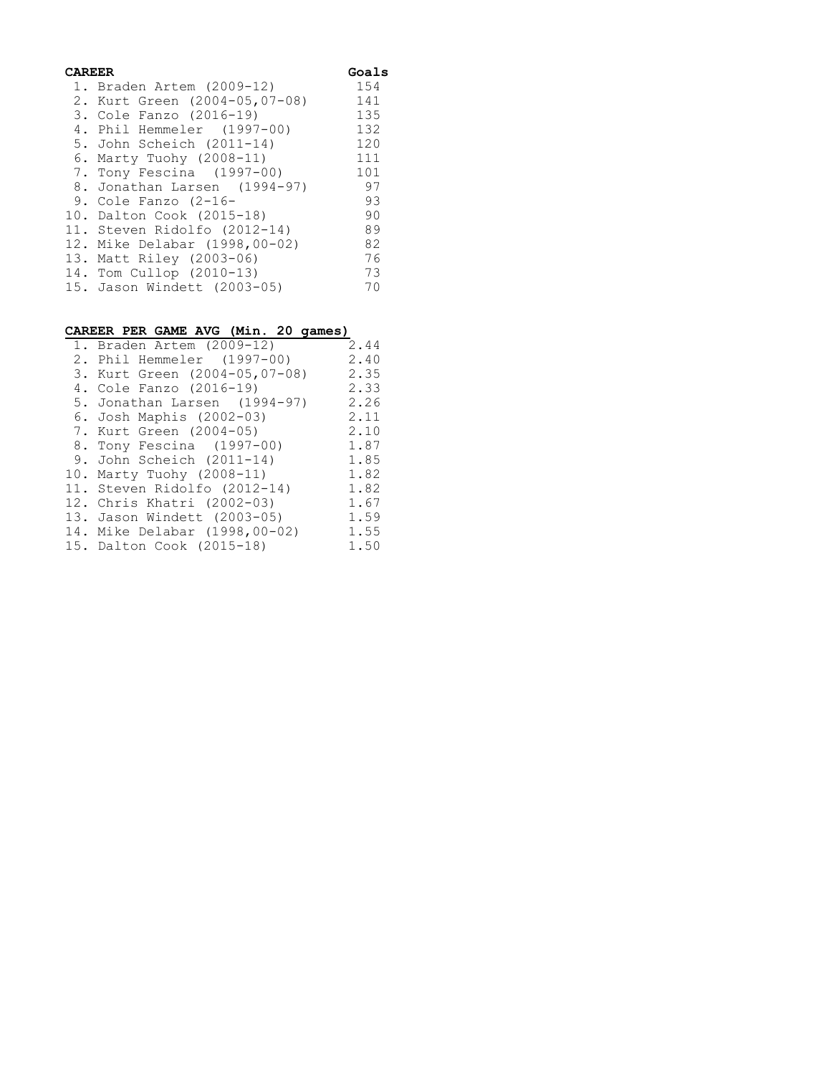| Goals<br>CAREER |                                    |     |  |
|-----------------|------------------------------------|-----|--|
|                 | 1. Braden Artem (2009-12)          | 154 |  |
|                 | 2. Kurt Green (2004-05, 07-08) 141 |     |  |
|                 | 3. Cole Fanzo (2016-19)            | 135 |  |
|                 | 4. Phil Hemmeler (1997-00)         | 132 |  |
|                 | 5. John Scheich (2011-14)          | 120 |  |
|                 | 6. Marty Tuohy (2008-11)           | 111 |  |
|                 | 7. Tony Fescina (1997-00)          | 101 |  |
|                 | 8. Jonathan Larsen (1994-97) 97    |     |  |
|                 | 9. Cole Fanzo $(2-16-$             | 93  |  |
|                 | 10. Dalton Cook (2015-18)          | 90  |  |
|                 | 11. Steven Ridolfo (2012-14)       | 89  |  |
|                 | 12. Mike Delabar (1998,00-02)      | 82  |  |
|                 | 13. Matt Riley (2003-06)           | 76  |  |
|                 | 14. Tom Cullop (2010-13)           | 73  |  |
|                 | 15. Jason Windett (2003-05)        | 70  |  |

#### **CAREER PER GAME AVG (Min. 20 games)**

| 1. Braden Artem (2009-12)     | 2.44 |
|-------------------------------|------|
| 2. Phil Hemmeler (1997-00)    | 2.40 |
| 3. Kurt Green (2004-05,07-08) | 2.35 |
| 4. Cole Fanzo (2016-19)       | 2.33 |
| 5. Jonathan Larsen (1994-97)  | 2.26 |
| 6. Josh Maphis (2002-03)      | 2.11 |
| 7. Kurt Green (2004-05)       | 2.10 |
| 8. Tony Fescina (1997-00)     | 1.87 |
| 9. John Scheich (2011-14)     | 1.85 |
| 10. Marty Tuohy (2008-11)     | 1.82 |
| 11. Steven Ridolfo (2012-14)  | 1.82 |
| 12. Chris Khatri (2002-03)    | 1.67 |
| 13. Jason Windett (2003-05)   | 1.59 |
| 14. Mike Delabar (1998,00-02) | 1.55 |
| 15. Dalton Cook (2015-18)     | 1.50 |
|                               |      |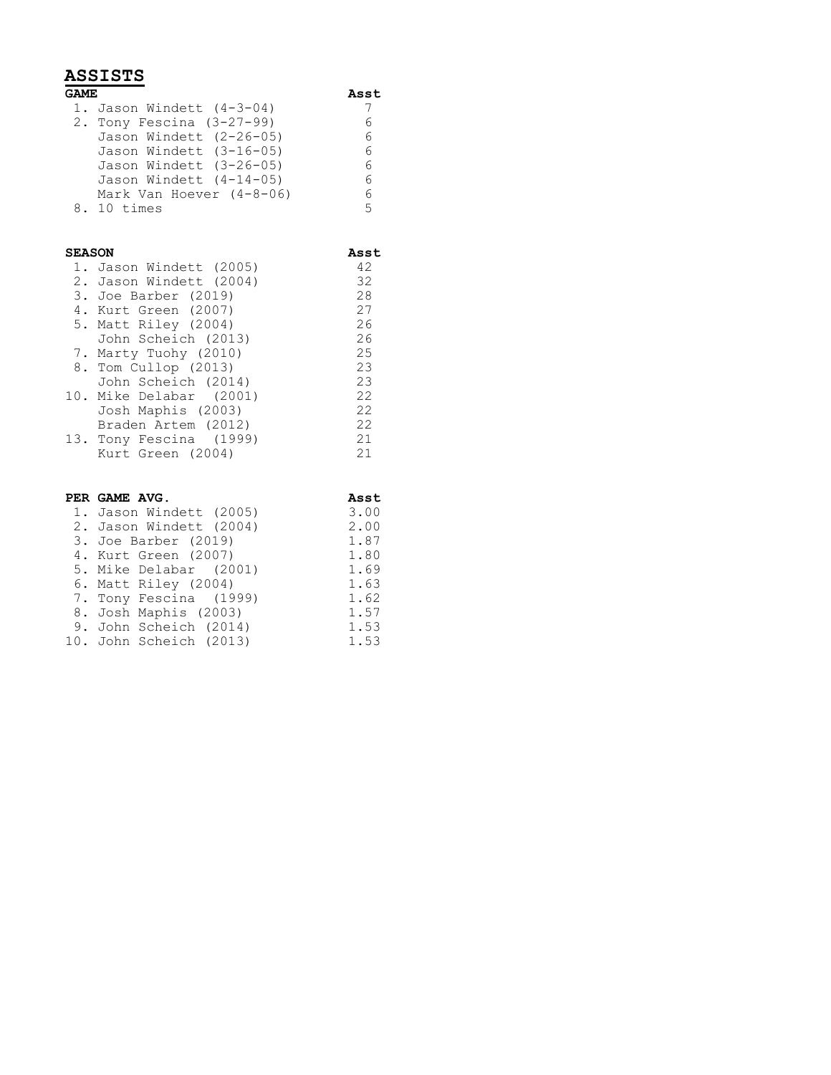### **ASSISTS**

| <b>GAME</b> |                             | Asst |  |
|-------------|-----------------------------|------|--|
|             | 1. Jason Windett $(4-3-04)$ |      |  |
|             | 2. Tony Fescina $(3-27-99)$ | 6    |  |
|             | Jason Windett (2-26-05)     | 6    |  |
|             | Jason Windett (3-16-05)     | 6    |  |
|             | Jason Windett (3-26-05)     | 6    |  |
|             | Jason Windett (4-14-05)     | 6    |  |
|             | Mark Van Hoever $(4-8-06)$  | 6    |  |
|             | 8. 10 times                 | 5    |  |

## **SEASON Asst**

| 1. Jason Windett (2005) | 42 |
|-------------------------|----|
| 2. Jason Windett (2004) | 32 |
| 3. Joe Barber (2019)    | 28 |
| 4. Kurt Green (2007)    | 27 |
| 5. Matt Riley (2004)    | 26 |
| John Scheich (2013)     | 26 |
| 7. Marty Tuohy (2010)   | 25 |
| 8. Tom Cullop (2013)    | 23 |
| John Scheich (2014)     | 23 |
| 10. Mike Delabar (2001) | 22 |
| Josh Maphis (2003)      | 22 |
| Braden Artem (2012)     | 22 |
| 13. Tony Fescina (1999) | 21 |
| Kurt Green (2004)       | 21 |
|                         |    |

| PER GAME AVG.           | Asst |
|-------------------------|------|
| 1. Jason Windett (2005) | 3.00 |
| 2. Jason Windett (2004) | 2.00 |
| 3. Joe Barber (2019)    | 1.87 |
| 4. Kurt Green (2007)    | 1.80 |
| 5. Mike Delabar (2001)  | 1.69 |
| 6. Matt Riley (2004)    | 1.63 |
| 7. Tony Fescina (1999)  | 1.62 |
| 8. Josh Maphis (2003)   | 1.57 |
| 9. John Scheich (2014)  | 1.53 |
| 10. John Scheich (2013) | 1.53 |
|                         |      |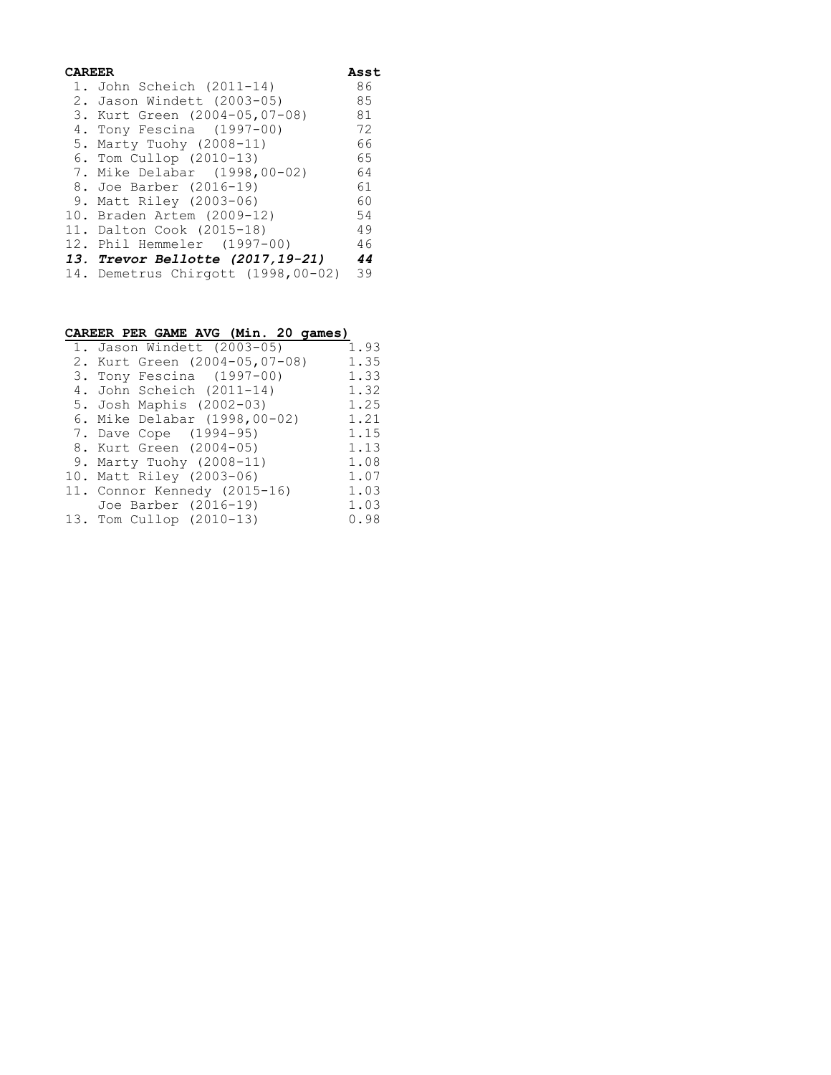| CAREER |                                         | Asst |  |
|--------|-----------------------------------------|------|--|
|        | 1. John Scheich (2011-14)               | 86   |  |
|        | 2. Jason Windett (2003-05)              | 85   |  |
|        | 3. Kurt Green (2004-05,07-08)           | 81   |  |
|        | 4. Tony Fescina (1997-00)               | 72   |  |
|        | 5. Marty Tuohy (2008-11)                | 66   |  |
|        | 6. Tom Cullop (2010-13)                 | 65   |  |
|        | 7. Mike Delabar (1998,00-02)            | 64   |  |
|        | 8. Joe Barber (2016-19)                 | 61   |  |
|        | 9. Matt Riley (2003-06)                 | 60   |  |
|        | 10. Braden Artem (2009-12)              | 54   |  |
|        | 11. Dalton Cook (2015–18)               | 49   |  |
|        | 12. Phil Hemmeler (1997-00)             | 46   |  |
|        | <i>13. Trevor Bellotte (2017,19-21)</i> | 44   |  |
|        | 14. Demetrus Chirgott (1998,00-02) 39   |      |  |

| CAREER PER GAME AVG (Min. 20 games) |      |
|-------------------------------------|------|
| 1. Jason Windett (2003-05)          | 1.93 |
| 2. Kurt Green (2004-05,07-08)       | 1.35 |
| 3. Tony Fescina (1997-00)           | 1.33 |
| 4. John Scheich (2011-14)           | 1.32 |
| 5. Josh Maphis (2002-03)            | 1.25 |
| 6. Mike Delabar (1998,00-02)        | 1.21 |
| 7. Dave Cope (1994-95)              | 1.15 |
| 8. Kurt Green (2004-05)             | 1.13 |
| 9. Marty Tuohy (2008-11)            | 1.08 |
| 10. Matt Riley (2003-06)            | 1.07 |
| 11. Connor Kennedy (2015-16)        | 1.03 |
| Joe Barber (2016-19)                | 1.03 |
| 13. Tom Cullop (2010-13)            | 0.98 |
|                                     |      |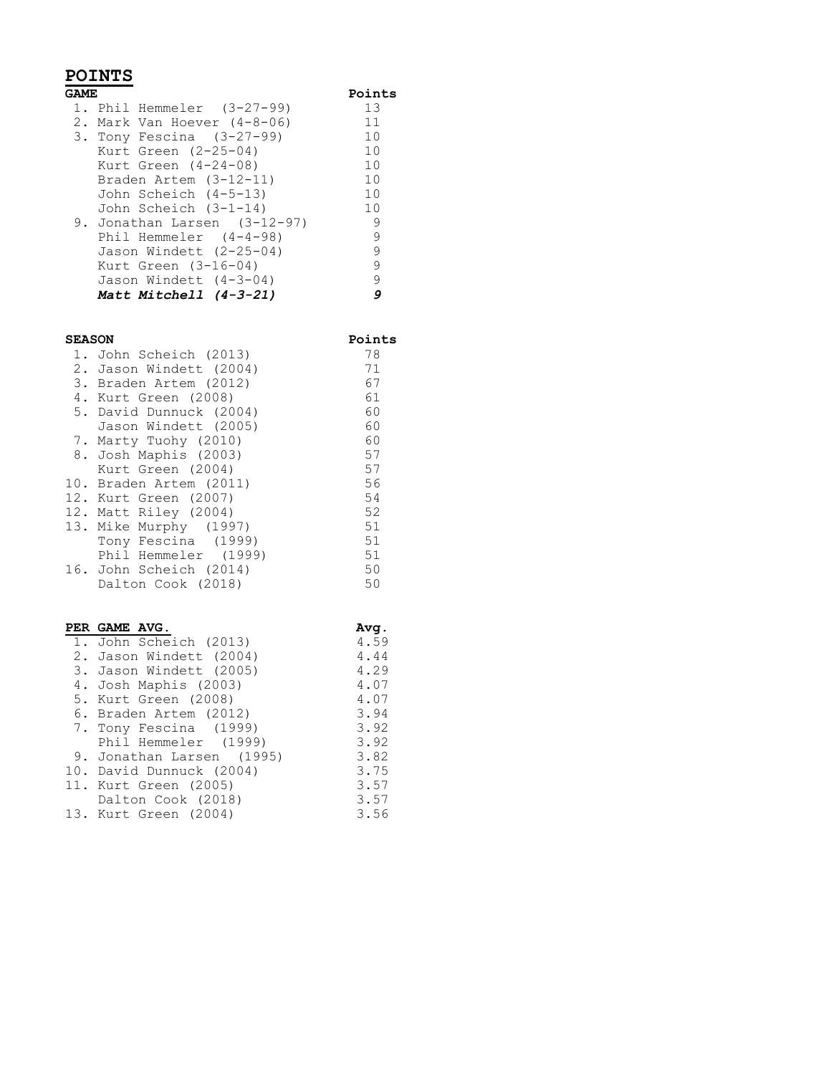## **POINTS**

| GAME.                        | Points |
|------------------------------|--------|
| 1. Phil Hemmeler $(3-27-99)$ | 13     |
| 2. Mark Van Hoever (4-8-06)  | 11     |
| 3. Tony Fescina $(3-27-99)$  | 10     |
| Kurt Green $(2-25-04)$       | 10     |
| Kurt Green $(4-24-08)$       | 10     |
| Braden Artem (3-12-11)       | 10     |
| John Scheich (4-5-13)        | 10     |
| John Scheich (3-1-14)        | 10     |
| 9. Jonathan Larsen (3-12-97) | 9      |
| Phil Hemmeler $(4-4-98)$     | 9      |
| Jason Windett (2-25-04)      | 9      |
| Kurt Green $(3-16-04)$       | 9      |
| Jason Windett (4-3-04)       | 9      |
| Matt Mitchell (4-3-21)       | g      |

#### **SEASON Points**

| 1. John Scheich (2013)  | 78 |
|-------------------------|----|
| 2. Jason Windett (2004) | 71 |
| 3. Braden Artem (2012)  | 67 |
| 4. Kurt Green (2008)    | 61 |
| 5. David Dunnuck (2004) | 60 |
| Jason Windett (2005)    | 60 |
| 7. Marty Tuohy (2010)   | 60 |
| 8. Josh Maphis (2003)   | 57 |
| Kurt Green (2004)       | 57 |
| 10. Braden Artem (2011) | 56 |
| 12. Kurt Green (2007)   | 54 |
| 12. Matt Riley (2004)   | 52 |
| 13. Mike Murphy (1997)  | 51 |
| Tony Fescina (1999)     | 51 |
| Phil Hemmeler (1999)    | 51 |
| 16. John Scheich (2014) | 50 |
| Dalton Cook (2018)      | 50 |

| PER GAME AVG.             | Ava. |
|---------------------------|------|
| 1. John Scheich (2013)    | 4.59 |
| 2. Jason Windett (2004)   | 4.44 |
| 3. Jason Windett (2005)   | 4.29 |
| 4. Josh Maphis (2003)     | 4.07 |
| 5. Kurt Green (2008)      | 4.07 |
| 6. Braden Artem (2012)    | 3.94 |
| 7. Tony Fescina (1999)    | 3.92 |
| Phil Hemmeler (1999)      | 3.92 |
| 9. Jonathan Larsen (1995) | 3.82 |
| 10. David Dunnuck (2004)  | 3.75 |
| 11. Kurt Green (2005)     | 3.57 |
| Dalton Cook (2018)        | 3.57 |
| 13. Kurt Green (2004)     | 3.56 |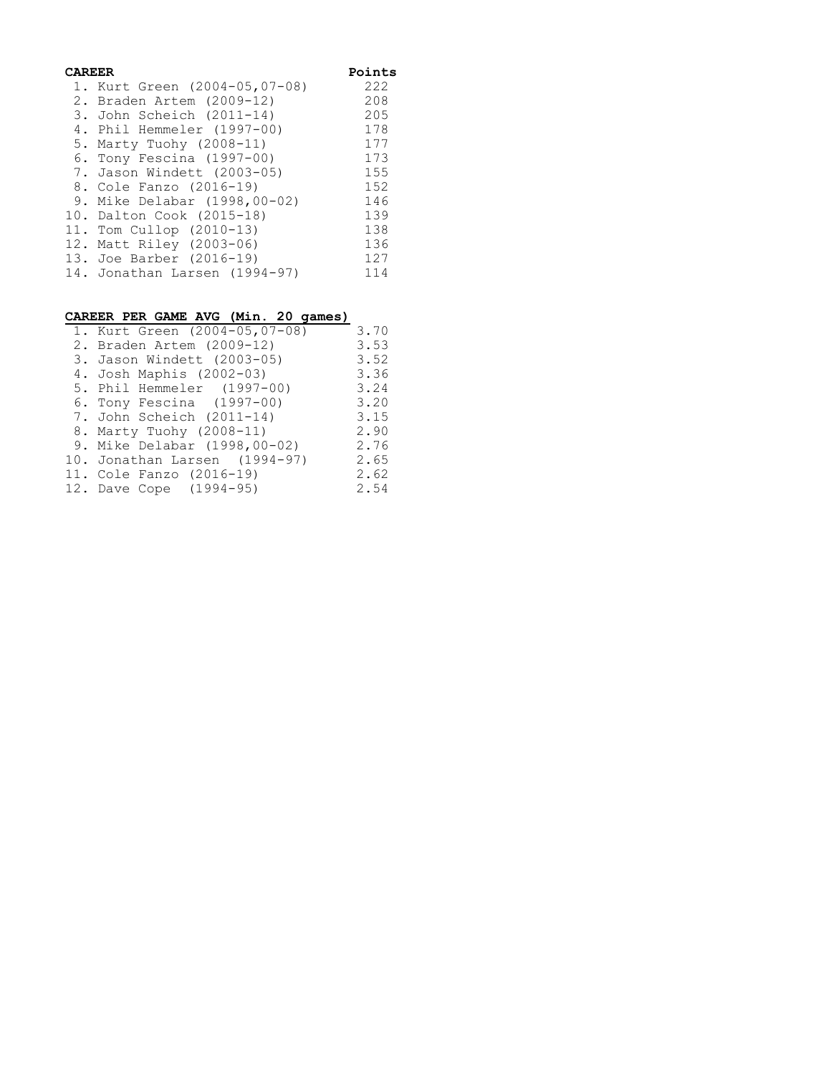| CAREER | Points                        |     |
|--------|-------------------------------|-----|
|        | 1. Kurt Green (2004-05,07-08) | 222 |
|        | 2. Braden Artem (2009-12)     | 208 |
|        | 3. John Scheich (2011-14)     | 205 |
|        | 4. Phil Hemmeler (1997-00)    | 178 |
|        | 5. Marty Tuohy (2008-11)      | 177 |
|        | 6. Tony Fescina (1997-00)     | 173 |
|        | 7. Jason Windett (2003-05)    | 155 |
|        | 8. Cole Fanzo (2016-19)       | 152 |
|        | 9. Mike Delabar (1998,00-02)  | 146 |
|        | 10. Dalton Cook (2015-18)     | 139 |
|        | 11. Tom Cullop (2010-13)      | 138 |
|        | 12. Matt Riley (2003-06)      | 136 |
|        | 13. Joe Barber (2016-19)      | 127 |
|        | 14. Jonathan Larsen (1994-97) | 114 |
|        |                               |     |

#### **CAREER PER GAME AVG (Min. 20 games)**

| 1. Kurt Green (2004-05,07-08) | 3.70 |
|-------------------------------|------|
| 2. Braden Artem (2009-12)     | 3.53 |
| 3. Jason Windett (2003-05)    | 3.52 |
| 4. Josh Maphis (2002-03)      | 3.36 |
| 5. Phil Hemmeler (1997-00)    | 3.24 |
| 6. Tony Fescina (1997-00)     | 3.20 |
| 7. John Scheich (2011-14)     | 3.15 |
| 8. Marty Tuohy (2008-11)      | 2.90 |
| 9. Mike Delabar (1998,00-02)  | 2.76 |
| 10. Jonathan Larsen (1994-97) | 2.65 |
| 11. Cole Fanzo (2016-19)      | 2.62 |
| 12. Dave Cope (1994-95)       | 2.54 |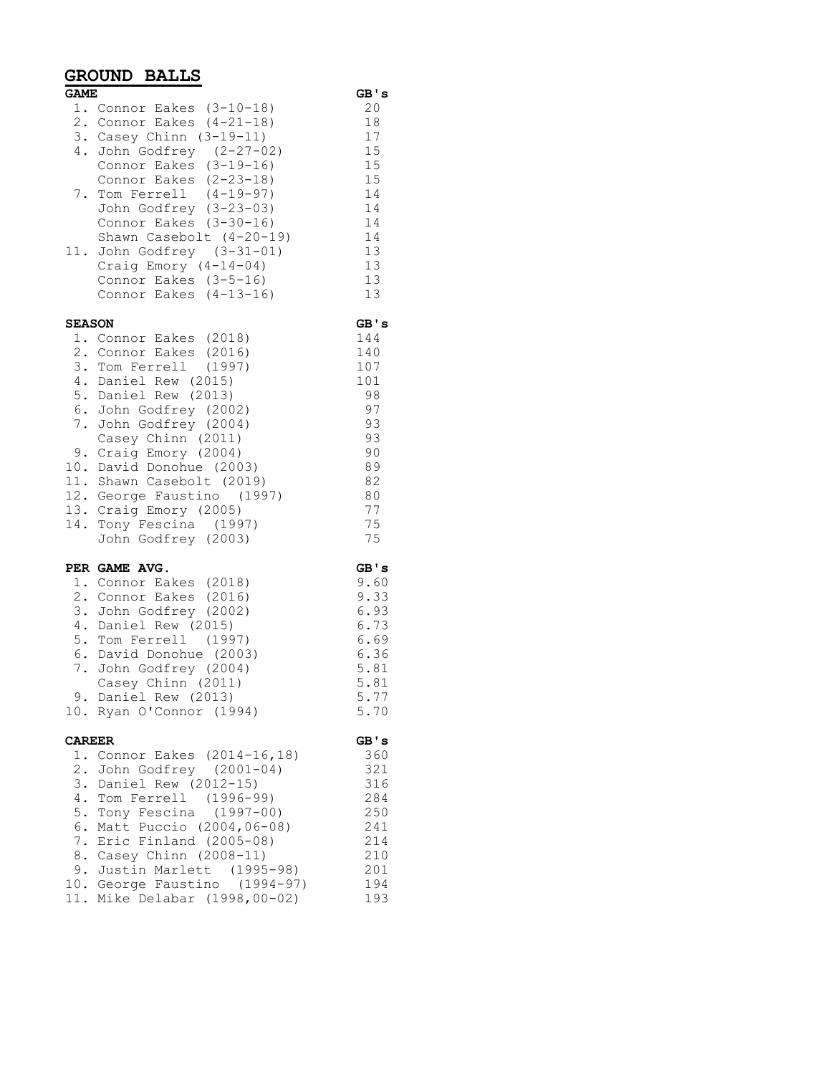### **GROUND BALLS**

| <b>GAME</b>   |                                                                                                                                                                                                                                                                                                                                                                                                 | GB's                                                                                               |
|---------------|-------------------------------------------------------------------------------------------------------------------------------------------------------------------------------------------------------------------------------------------------------------------------------------------------------------------------------------------------------------------------------------------------|----------------------------------------------------------------------------------------------------|
|               | 1. Connor Eakes (3-10-18)<br>2. Connor Eakes (4-21-18)<br>3. Casey Chinn (3-19-11)<br>4. John Godfrey (2-27-02)<br>$\frac{3-1}{2}$ (3-19-16)<br>Connor Eakes (2-23-18)<br>7. Tom Ferrell (4-19-97)<br>John Godfrey (3-23-03)<br>Connor Eakes (3-30-16)<br>Shawn Casebolt (4-20-19)<br>11. John Godfrey (3-31-01)<br>Craig Emory $(4-14-04)$<br>Connor Eakes (3-5-16)<br>Connor Eakes (4-13-16)  | 20<br>18<br>17<br>15<br>15<br>15<br>14<br>14<br>14<br>14<br>13<br>13<br>13<br>13                   |
| <b>SEASON</b> | 1. Connor Eakes (2018)<br>2. Connor Eakes (2016)<br>3. Tom Ferrell (1997)<br>4. Daniel Rew (2015)<br>5. Daniel Rew (2013)<br>6. John Godfrey (2002)<br>7. John Godfrey (2004)<br>Casey Chinn (2011)<br>9. Craig Emory (2004)<br>10. David Donohue (2003)<br>11. Shawn Casebolt (2019)<br>12. George Faustino (1997)<br>13. Craig Emory (2005)<br>14. Tony Fescina (1997)<br>John Godfrey (2003) | GB's<br>144<br>140<br>107<br>101<br>98<br>97<br>93<br>93<br>90<br>89<br>82<br>80<br>77<br>75<br>75 |
|               | PER GAME AVG.<br>1. Connor Eakes (2018)<br>2. Connor Eakes (2016)<br>3. John Godfrey (2002)<br>4. Daniel Rew (2015)<br>5. Tom Ferrell (1997)<br>6. David Donohue (2003)<br>7. John Godfrey (2004)<br>Casey Chinn (2011)<br>9. Daniel Rew (2013)<br>10. Ryan O'Connor (1994)                                                                                                                     | GB's<br>9.60<br>9.33<br>6.93<br>6.73<br>6.69<br>6.36<br>5.81<br>5.81<br>5.77<br>5.70               |
| <b>CAREER</b> | 1. Connor Eakes (2014-16,18)<br>2. John Godfrey (2001-04)<br>3. Daniel Rew (2012-15)<br>4. Tom Ferrell (1996-99)<br>5. Tony Fescina (1997-00)<br>6. Matt Puccio (2004,06-08)<br>7. Eric Finland (2005-08)<br>8. Casey Chinn (2008-11)                                                                                                                                                           | GB's<br>360<br>321<br>316<br>284<br>250<br>241<br>214<br>210                                       |

9. Justin Marlett (1995-98) 201 10. George Faustino (1994-97) 194 11. Mike Delabar (1998,00-02) 193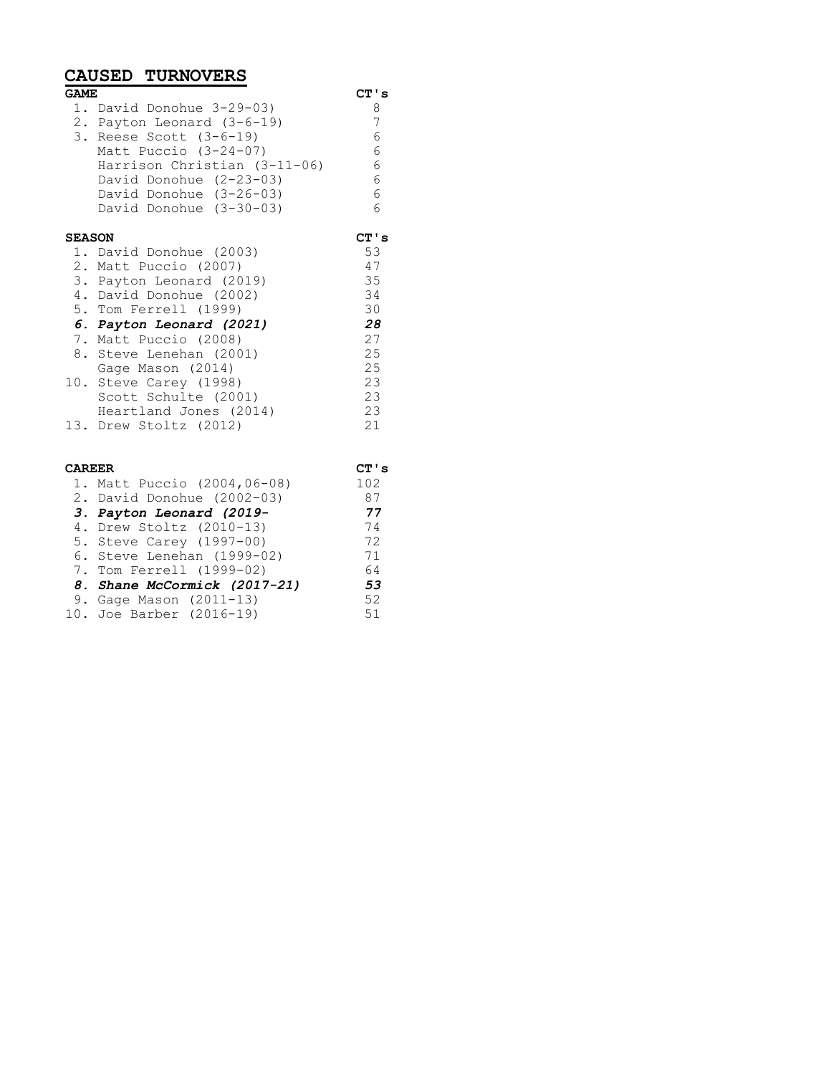## **CAUSED TURNOVERS**

| <b>GAME</b>   |                                |      |
|---------------|--------------------------------|------|
|               | 1. David Donohue 3-29-03)      | 8    |
|               | 2. Payton Leonard (3-6-19)     | 7    |
|               | 3. Reese Scott $(3-6-19)$      | 6    |
|               | Matt Puccio $(3-24-07)$        | 6    |
|               | Harrison Christian $(3-11-06)$ | 6    |
|               | David Donohue (2-23-03)        | 6    |
|               | David Donohue (3-26-03)        | 6    |
|               | David Donohue $(3-30-03)$      | 6    |
| <b>SEASON</b> |                                | CT's |
|               | 1. David Donohue (2003)        | 53   |
|               | 2. Matt Puccio (2007)          | 47   |
|               | 3. Payton Leonard (2019)       | 35   |
|               | 4. David Donohue (2002)        | 34   |
|               | 5. Tom Ferrell (1999)          | 30   |
|               | 6. Payton Leonard (2021)       | 28   |
|               | 7. Matt Puccio (2008)          | 27   |
|               | 8. Steve Lenehan (2001)        | 25   |
|               | Gage Mason (2014)              | 25   |
|               | 10. Steve Carey (1998)         | 23   |
|               | Scott Schulte (2001)           | 23   |
|               | Heartland Jones (2014)         | 23   |
|               |                                | 21   |
|               | 13. Drew Stoltz (2012)         |      |
|               |                                |      |
| <b>CAREER</b> |                                | CT's |

| <b>CAREER</b> |                              | CT ' : |
|---------------|------------------------------|--------|
|               | 1. Matt Puccio (2004,06-08)  | 102    |
|               | 2. David Donohue (2002-03)   | 87     |
|               | 3. Payton Leonard (2019-     | 77     |
|               | 4. Drew Stoltz (2010-13)     | 74     |
|               | 5. Steve Carey (1997-00)     | 72     |
|               | 6. Steve Lenehan (1999-02)   | 71     |
|               | 7. Tom Ferrell (1999-02)     | 64     |
|               | 8. Shane McCormick (2017-21) | 53     |
|               | 9. Gage Mason $(2011-13)$    | 52     |
|               | 10. Joe Barber (2016-19)     | 51     |
|               |                              |        |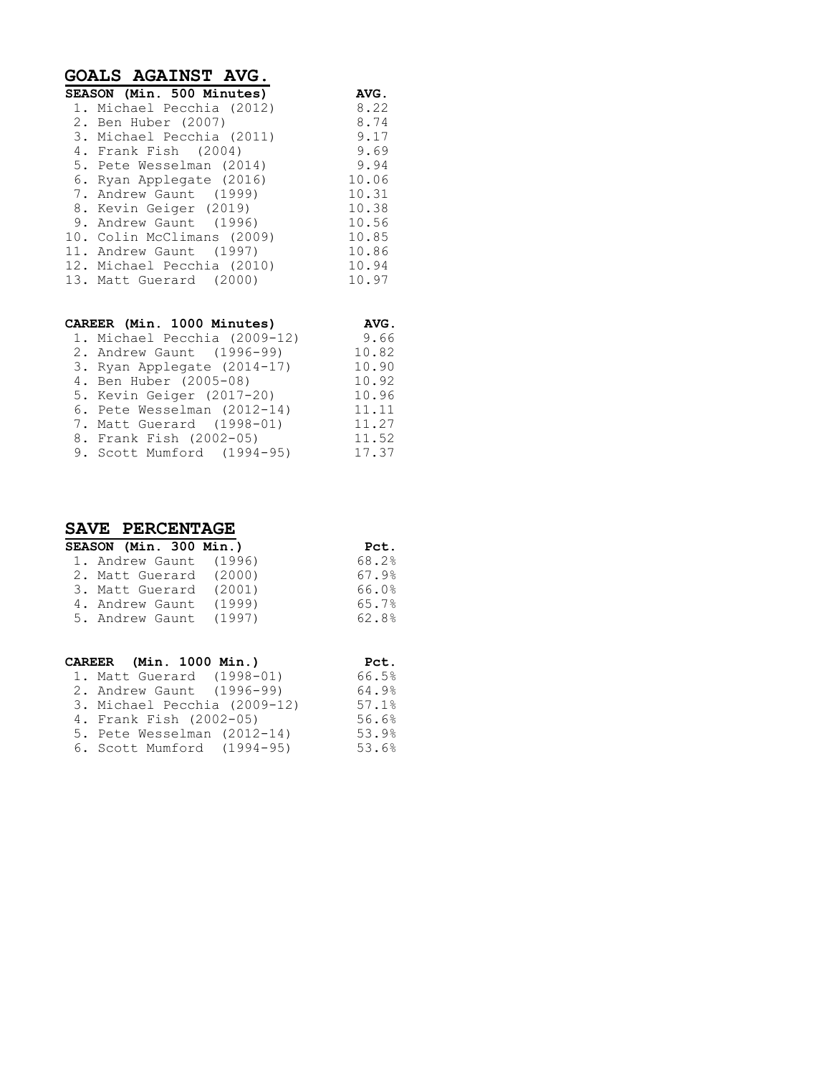| GOALS AGAINST AVG.           |             |
|------------------------------|-------------|
| SEASON (Min. 500 Minutes)    | <b>AVG.</b> |
| 1. Michael Pecchia (2012)    | 8.22        |
| 2. Ben Huber (2007)          | 8.74        |
| 3. Michael Pecchia (2011)    | 9.17        |
| 4. Frank Fish (2004)         | 9.69        |
| 5. Pete Wesselman (2014)     | 9.94        |
| 6. Ryan Applegate (2016)     | 10.06       |
| 7. Andrew Gaunt (1999)       | 10.31       |
| 8. Kevin Geiger (2019)       | 10.38       |
| 9. Andrew Gaunt (1996)       | 10.56       |
| 10. Colin McClimans (2009)   | 10.85       |
| 11. Andrew Gaunt (1997)      | 10.86       |
| 12. Michael Pecchia (2010)   | 10.94       |
| 13. Matt Guerard (2000)      | 10.97       |
| CAREER (Min. 1000 Minutes)   | <b>AVG.</b> |
| 1. Michael Pecchia (2009-12) | 9.66        |

| 2. Andrew Gaunt (1996-99)   | 10.82 |
|-----------------------------|-------|
| 3. Ryan Applegate (2014-17) | 10.90 |
| 4. Ben Huber (2005-08)      | 10.92 |
| 5. Kevin Geiger (2017-20)   | 10.96 |
| 6. Pete Wesselman (2012-14) | 11.11 |
| 7. Matt Guerard (1998-01)   | 11.27 |
| 8. Frank Fish (2002-05)     | 11.52 |
| 9. Scott Mumford (1994-95)  | 17.37 |
|                             |       |

## **SAVE PERCENTAGE**

| <b>SEASON (Min. 300 Min.)</b> | Pct.  |
|-------------------------------|-------|
| 1. Andrew Gaunt (1996)        | 68.2% |
| 2. Matt Guerard (2000)        | 67.9% |
| 3. Matt Guerard (2001)        | 66.0% |
| 4. Andrew Gaunt (1999)        | 65.7% |
| 5. Andrew Gaunt (1997)        | 62.8% |
|                               |       |

| CAREER (Min. 1000 Min.)      | Pct.  |
|------------------------------|-------|
| 1. Matt Guerard (1998-01)    | 66.5% |
| 2. Andrew Gaunt (1996-99)    | 64.9% |
| 3. Michael Pecchia (2009-12) | 57.1% |
| 4. Frank Fish (2002-05)      | 56.6% |
| 5. Pete Wesselman (2012-14)  | 53.9% |
| 6. Scott Mumford (1994-95)   | 53.6% |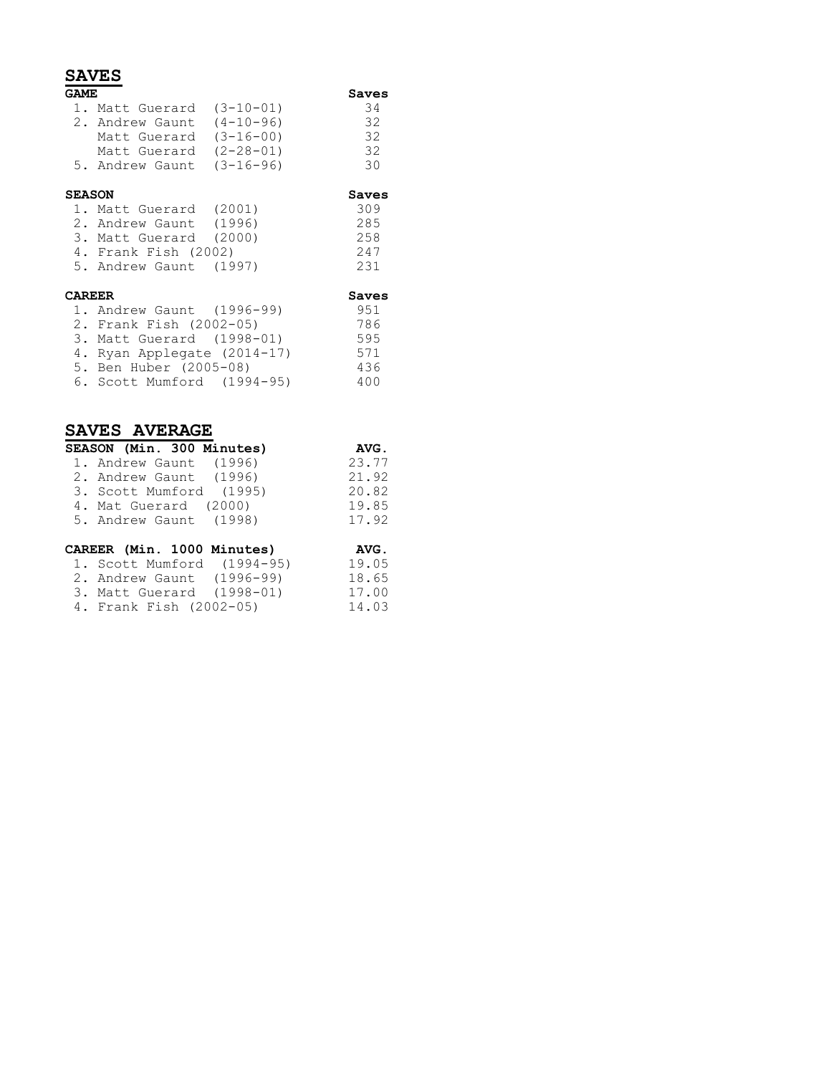### **SAVES**

| GAME          |                             |                 | Saves           |
|---------------|-----------------------------|-----------------|-----------------|
|               | 1. Matt Guerard (3-10-01)   |                 | 34              |
|               | 2. Andrew Gaunt             | $(4 - 10 - 96)$ | 32              |
|               | Matt Guerard                | $(3 - 16 - 00)$ | $\overline{32}$ |
|               | Matt Guerard                | $(2 - 28 - 01)$ | 32              |
|               | 5. Andrew Gaunt             | $(3 - 16 - 96)$ | 30              |
| <b>SEASON</b> |                             |                 | Saves           |
|               | 1. Matt Guerard (2001)      |                 | 309             |
|               | 2. Andrew Gaunt (1996)      |                 | 285             |
|               | 3. Matt Guerard (2000)      |                 | 258             |
|               | 4. Frank Fish (2002)        |                 | 247             |
|               | 5. Andrew Gaunt (1997)      |                 | 231             |
| <b>CAREER</b> |                             |                 | Saves           |
|               | 1. Andrew Gaunt (1996-99)   |                 | 951             |
|               | 2. Frank Fish (2002-05)     |                 | 786             |
|               | 3. Matt Guerard (1998-01)   |                 | 595             |
|               | 4. Ryan Applegate (2014-17) |                 | 571             |
|               | 5. Ben Huber (2005-08)      |                 | 436             |
|               | 6. Scott Mumford (1994-95)  |                 | 400             |

### **SAVES AVERAGE**

| SEASON (Min. 300 Minutes)  | AVG.                         |
|----------------------------|------------------------------|
| 1. Andrew Gaunt (1996)     | 23.77                        |
| 2. Andrew Gaunt (1996)     | 21.92                        |
| 3. Scott Mumford (1995)    | 20.82                        |
| 4. Mat Guerard (2000)      | 19.85                        |
| 5. Andrew Gaunt (1998)     | 17.92                        |
| CAREER (Min. 1000 Minutes) | AVG.<br>$\sim$ $\sim$ $\sim$ |

| CAREER (Min. 1000 Minutes) | AVG.  |
|----------------------------|-------|
| 1. Scott Mumford (1994-95) | 19.05 |
| 2. Andrew Gaunt (1996-99)  | 18.65 |
| 3. Matt Guerard (1998-01)  | 17.00 |
| 4. Frank Fish (2002-05)    | 14.03 |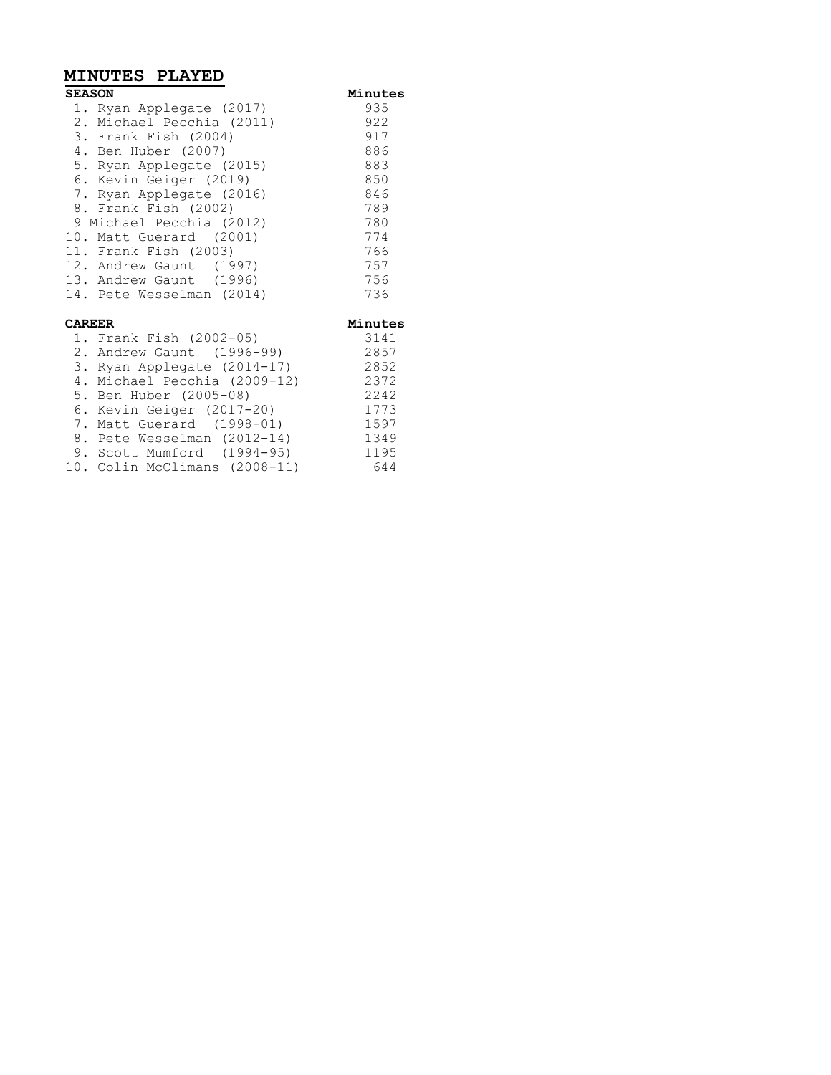## **MINUTES PLAYED**

| <b>SEASON</b> |                              | Minutes |
|---------------|------------------------------|---------|
|               | 1. Ryan Applegate (2017)     | 935     |
|               | 2. Michael Pecchia (2011)    | 922     |
|               | 3. Frank Fish (2004)         | 917     |
|               | 4. Ben Huber (2007)          | 886     |
|               | 5. Ryan Applegate (2015)     | 883     |
|               | 6. Kevin Geiger (2019)       | 850     |
|               | 7. Ryan Applegate (2016)     | 846     |
|               | 8. Frank Fish (2002)         | 789     |
|               | 9 Michael Pecchia (2012)     | 780     |
|               | 10. Matt Guerard (2001)      | 774     |
|               | 11. Frank Fish (2003)        | 766     |
|               | 12. Andrew Gaunt (1997)      | 757     |
|               | 13. Andrew Gaunt (1996)      | 756     |
|               | 14. Pete Wesselman (2014)    | 736     |
| <b>CAREER</b> |                              | Minutes |
|               | 1. Frank Fish (2002-05)      | 3141    |
|               | 2. Andrew Gaunt (1996-99)    | 2857    |
|               | 3. Ryan Applegate (2014-17)  | 2852    |
|               | 4. Michael Pecchia (2009-12) | 2372    |
|               | 5. Ben Huber (2005-08)       | 2242    |
|               | 6. Kevin Geiger (2017-20)    | 1773    |
|               | 7. Matt Guerard (1998-01)    | 1597    |
|               | 8. Pete Wesselman (2012-14)  | 1349    |

9. Scott Mumford (1994-95) 1195 10. Colin McClimans (2008-11) 644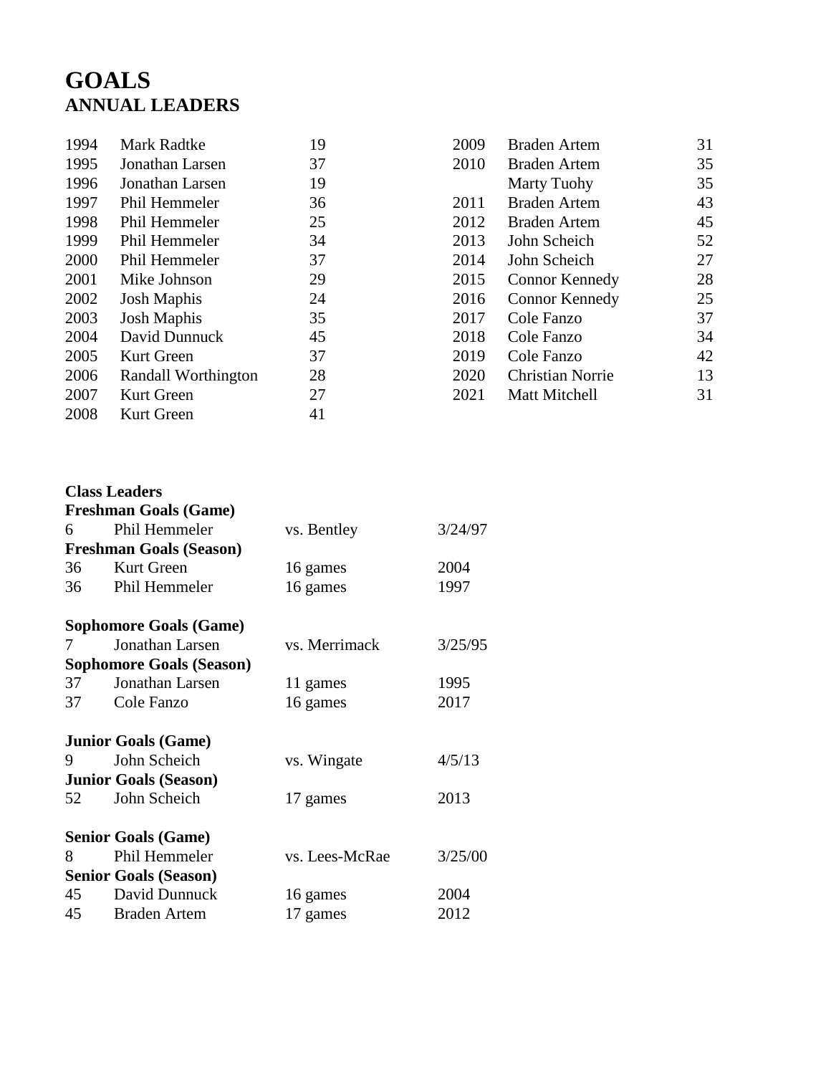# **GOALS ANNUAL LEADERS**

| 1994 | Mark Radtke          | 19 |
|------|----------------------|----|
| 1995 | Jonathan Larsen      | 37 |
| 1996 | Jonathan Larsen      | 19 |
| 1997 | Phil Hemmeler        | 36 |
| 1998 | <b>Phil Hemmeler</b> | 25 |
| 1999 | Phil Hemmeler        | 34 |
| 2000 | Phil Hemmeler        | 37 |
| 2001 | Mike Johnson         | 29 |
| 2002 | <b>Josh Maphis</b>   | 24 |
| 2003 | <b>Josh Maphis</b>   | 35 |
| 2004 | David Dunnuck        | 45 |
| 2005 | Kurt Green           | 37 |
| 2006 | Randall Worthington  | 28 |
| 2007 | Kurt Green           | 27 |
| 2008 | Kurt Green           | 41 |

| 2009 | Braden Artem          | 31 |
|------|-----------------------|----|
| 2010 | Braden Artem          | 35 |
|      | <b>Marty Tuohy</b>    | 35 |
| 2011 | <b>Braden Artem</b>   | 43 |
| 2012 | Braden Artem          | 45 |
| 2013 | John Scheich          | 52 |
| 2014 | John Scheich          | 27 |
| 2015 | <b>Connor Kennedy</b> | 28 |
| 2016 | <b>Connor Kennedy</b> | 25 |
| 2017 | Cole Fanzo            | 37 |
| 2018 | Cole Fanzo            | 34 |
| 2019 | Cole Fanzo            | 42 |
| 2020 | Christian Norrie      | 13 |
| 2021 | Matt Mitchell         | 31 |
|      |                       |    |

### **Class Leaders**

|    | <b>Freshman Goals (Game)</b>    |                |         |
|----|---------------------------------|----------------|---------|
| 6  | Phil Hemmeler                   | vs. Bentley    | 3/24/97 |
|    | <b>Freshman Goals (Season)</b>  |                |         |
| 36 | Kurt Green                      | 16 games       | 2004    |
|    | 36 Phil Hemmeler                | 16 games       | 1997    |
|    | <b>Sophomore Goals (Game)</b>   |                |         |
| 7  | Jonathan Larsen                 | vs. Merrimack  | 3/25/95 |
|    | <b>Sophomore Goals (Season)</b> |                |         |
| 37 | Jonathan Larsen                 | 11 games       | 1995    |
| 37 | Cole Fanzo                      | 16 games       | 2017    |
|    | <b>Junior Goals (Game)</b>      |                |         |
| 9  | John Scheich                    | vs. Wingate    | 4/5/13  |
|    | <b>Junior Goals (Season)</b>    |                |         |
| 52 | John Scheich                    | 17 games       | 2013    |
|    | <b>Senior Goals (Game)</b>      |                |         |
| 8  | Phil Hemmeler                   | vs. Lees-McRae | 3/25/00 |
|    | <b>Senior Goals (Season)</b>    |                |         |
| 45 | David Dunnuck                   | 16 games       | 2004    |
|    | 45 Braden Artem                 | 17 games       | 2012    |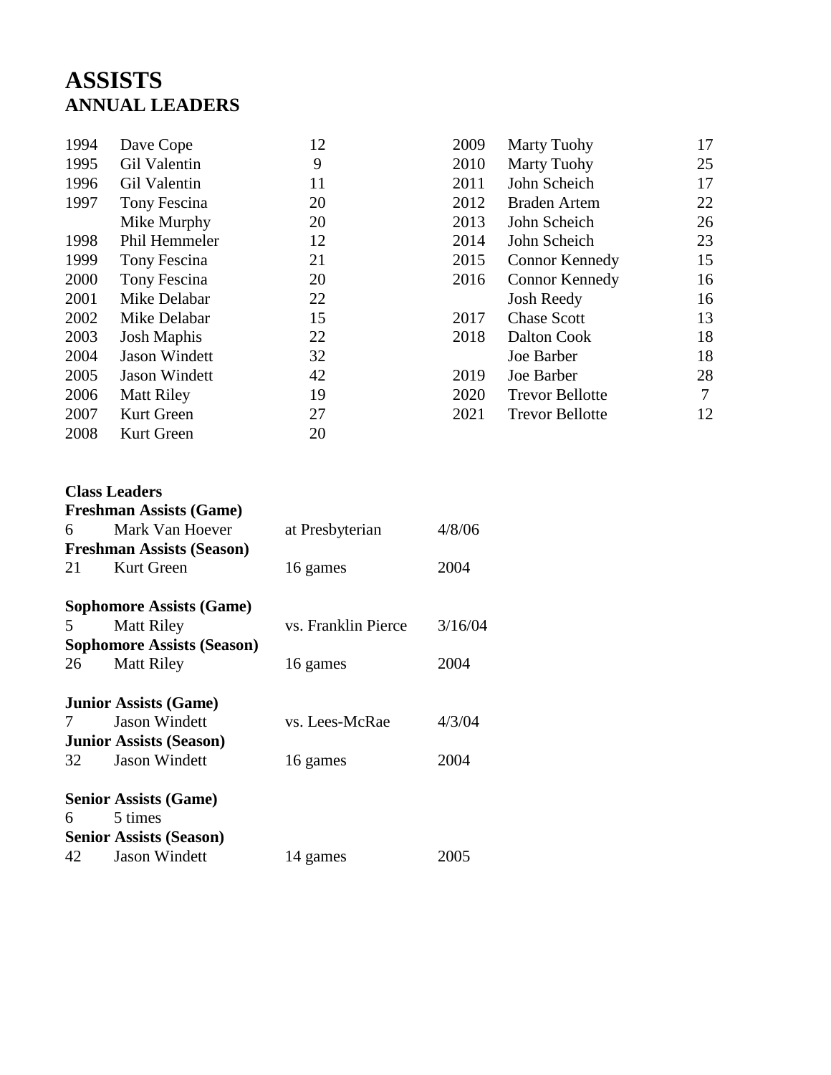# **ASSISTS ANNUAL LEADERS**

| 1994 | Dave Cope            | 12 | 2009 | <b>Marty Tuohy</b>     | 17 |
|------|----------------------|----|------|------------------------|----|
| 1995 | <b>Gil Valentin</b>  | 9  | 2010 | <b>Marty Tuohy</b>     | 25 |
| 1996 | <b>Gil Valentin</b>  | 11 | 2011 | John Scheich           | 17 |
| 1997 | Tony Fescina         | 20 | 2012 | <b>Braden Artem</b>    | 22 |
|      | Mike Murphy          | 20 | 2013 | John Scheich           | 26 |
| 1998 | Phil Hemmeler        | 12 | 2014 | John Scheich           | 23 |
| 1999 | Tony Fescina         | 21 | 2015 | <b>Connor Kennedy</b>  | 15 |
| 2000 | Tony Fescina         | 20 | 2016 | <b>Connor Kennedy</b>  | 16 |
| 2001 | Mike Delabar         | 22 |      | <b>Josh Reedy</b>      | 16 |
| 2002 | Mike Delabar         | 15 | 2017 | <b>Chase Scott</b>     | 13 |
| 2003 | <b>Josh Maphis</b>   | 22 | 2018 | Dalton Cook            | 18 |
| 2004 | <b>Jason Windett</b> | 32 |      | Joe Barber             | 18 |
| 2005 | <b>Jason Windett</b> | 42 | 2019 | Joe Barber             | 28 |
| 2006 | <b>Matt Riley</b>    | 19 | 2020 | <b>Trevor Bellotte</b> | 7  |
| 2007 | Kurt Green           | 27 | 2021 | <b>Trevor Bellotte</b> | 12 |
| 2008 | Kurt Green           | 20 |      |                        |    |
|      |                      |    |      |                        |    |

## **Class Leaders**

|     | <b>Freshman Assists (Game)</b>    |                     |         |
|-----|-----------------------------------|---------------------|---------|
| 6   | Mark Van Hoever                   | at Presbyterian     | 4/8/06  |
|     | <b>Freshman Assists (Season)</b>  |                     |         |
| 21  | Kurt Green                        | 16 games            | 2004    |
|     | <b>Sophomore Assists (Game)</b>   |                     |         |
| 5   | <b>Matt Riley</b>                 | vs. Franklin Pierce | 3/16/04 |
|     | <b>Sophomore Assists (Season)</b> |                     |         |
| 26  | <b>Matt Riley</b>                 | 16 games            | 2004    |
|     | <b>Junior Assists (Game)</b>      |                     |         |
| 7   | <b>Jason Windett</b>              | vs. Lees-McRae      | 4/3/04  |
|     | <b>Junior Assists (Season)</b>    |                     |         |
| 32  | <b>Jason Windett</b>              | 16 games            | 2004    |
|     | <b>Senior Assists (Game)</b>      |                     |         |
| 6 — | 5 times                           |                     |         |
|     | <b>Senior Assists (Season)</b>    |                     |         |
| 42  | <b>Jason Windett</b>              | 14 games            | 2005    |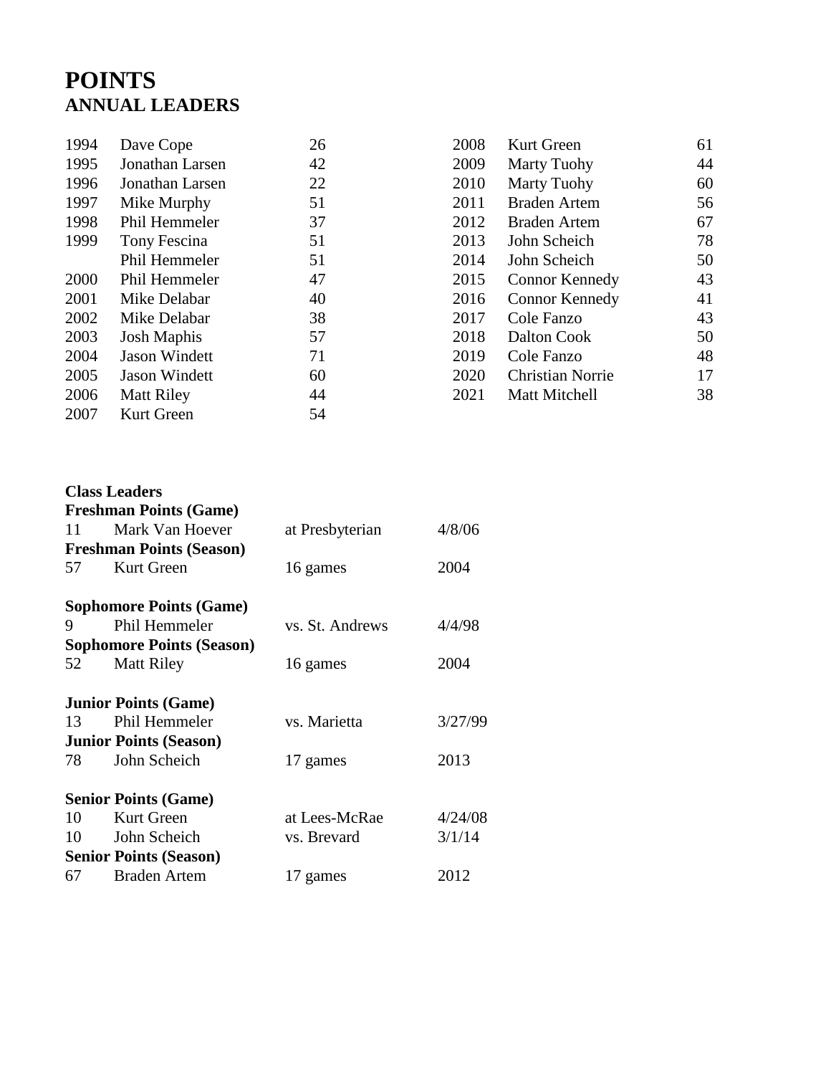# **POINTS ANNUAL LEADERS**

| 1994 | Dave Cope            | 26 | 2008 | Kurt Green              | 61 |
|------|----------------------|----|------|-------------------------|----|
| 1995 | Jonathan Larsen      | 42 | 2009 | <b>Marty Tuohy</b>      | 44 |
| 1996 | Jonathan Larsen      | 22 | 2010 | <b>Marty Tuohy</b>      | 60 |
| 1997 | Mike Murphy          | 51 | 2011 | <b>Braden Artem</b>     | 56 |
| 1998 | Phil Hemmeler        | 37 | 2012 | <b>Braden Artem</b>     | 67 |
| 1999 | Tony Fescina         | 51 | 2013 | John Scheich            | 78 |
|      | Phil Hemmeler        | 51 | 2014 | John Scheich            | 50 |
| 2000 | Phil Hemmeler        | 47 | 2015 | <b>Connor Kennedy</b>   | 43 |
| 2001 | Mike Delabar         | 40 | 2016 | <b>Connor Kennedy</b>   | 41 |
| 2002 | Mike Delabar         | 38 | 2017 | Cole Fanzo              | 43 |
| 2003 | <b>Josh Maphis</b>   | 57 | 2018 | Dalton Cook             | 50 |
| 2004 | <b>Jason Windett</b> | 71 | 2019 | Cole Fanzo              | 48 |
| 2005 | <b>Jason Windett</b> | 60 | 2020 | <b>Christian Norrie</b> | 17 |
| 2006 | <b>Matt Riley</b>    | 44 | 2021 | Matt Mitchell           | 38 |
| 2007 | Kurt Green           | 54 |      |                         |    |
|      |                      |    |      |                         |    |

|    | <b>Class Leaders</b><br><b>Freshman Points (Game)</b> |                 |         |  |  |
|----|-------------------------------------------------------|-----------------|---------|--|--|
| 11 | Mark Van Hoever                                       | at Presbyterian | 4/8/06  |  |  |
|    | <b>Freshman Points (Season)</b>                       |                 |         |  |  |
| 57 | Kurt Green                                            | 16 games        | 2004    |  |  |
|    | <b>Sophomore Points (Game)</b>                        |                 |         |  |  |
| 9  | Phil Hemmeler                                         | vs. St. Andrews | 4/4/98  |  |  |
|    | <b>Sophomore Points (Season)</b>                      |                 |         |  |  |
| 52 | <b>Matt Riley</b>                                     | 16 games        | 2004    |  |  |
|    | <b>Junior Points (Game)</b>                           |                 |         |  |  |
| 13 | Phil Hemmeler                                         | vs. Marietta    | 3/27/99 |  |  |
|    | <b>Junior Points (Season)</b>                         |                 |         |  |  |
| 78 | John Scheich                                          | 17 games        | 2013    |  |  |
|    | <b>Senior Points (Game)</b>                           |                 |         |  |  |
| 10 | <b>Kurt Green</b>                                     | at Lees-McRae   | 4/24/08 |  |  |
| 10 | John Scheich                                          | vs. Brevard     | 3/1/14  |  |  |
|    | <b>Senior Points (Season)</b>                         |                 |         |  |  |
| 67 | <b>Braden Artem</b>                                   | 17 games        | 2012    |  |  |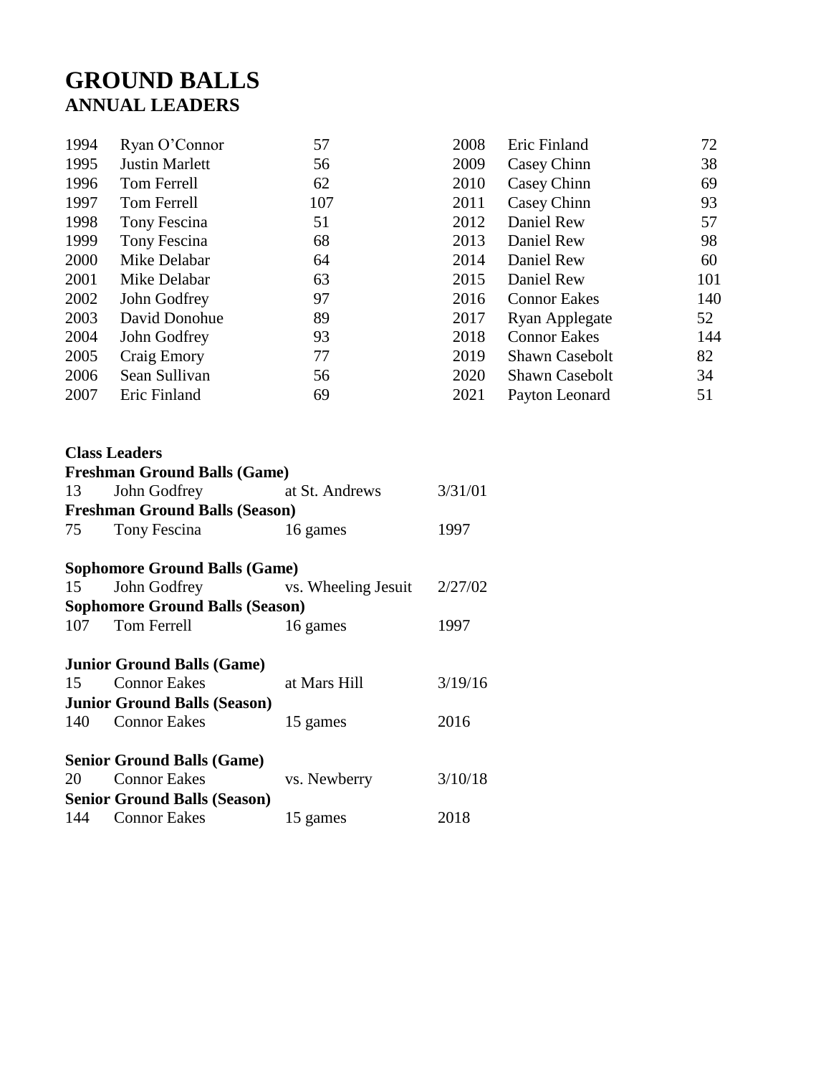## **GROUND BALLS ANNUAL LEADERS**

| 1994 | Ryan O'Connor         | 57  | 2008 | Eric Finland          | 72  |
|------|-----------------------|-----|------|-----------------------|-----|
| 1995 | <b>Justin Marlett</b> | 56  | 2009 | Casey Chinn           | 38  |
| 1996 | Tom Ferrell           | 62  | 2010 | Casey Chinn           | 69  |
| 1997 | Tom Ferrell           | 107 | 2011 | Casey Chinn           | 93  |
| 1998 | Tony Fescina          | 51  | 2012 | Daniel Rew            | 57  |
| 1999 | Tony Fescina          | 68  | 2013 | Daniel Rew            | 98  |
| 2000 | Mike Delabar          | 64  | 2014 | Daniel Rew            | 60  |
| 2001 | Mike Delabar          | 63  | 2015 | Daniel Rew            | 101 |
| 2002 | John Godfrey          | 97  | 2016 | <b>Connor Eakes</b>   | 140 |
| 2003 | David Donohue         | 89  | 2017 | Ryan Applegate        | 52  |
| 2004 | John Godfrey          | 93  | 2018 | <b>Connor Eakes</b>   | 144 |
| 2005 | Craig Emory           | 77  | 2019 | <b>Shawn Casebolt</b> | 82  |
| 2006 | Sean Sullivan         | 56  | 2020 | <b>Shawn Casebolt</b> | 34  |
| 2007 | Eric Finland          | 69  | 2021 | Payton Leonard        | 51  |

|    | <b>Class Leaders</b>                     |              |         |
|----|------------------------------------------|--------------|---------|
|    | <b>Freshman Ground Balls (Game)</b>      |              |         |
| 13 | John Godfrey at St. Andrews              |              | 3/31/01 |
|    | <b>Freshman Ground Balls (Season)</b>    |              |         |
|    | 75 Tony Fescina                          | 16 games     | 1997    |
|    | <b>Sophomore Ground Balls (Game)</b>     |              |         |
| 15 | John Godfrey vs. Wheeling Jesuit 2/27/02 |              |         |
|    | <b>Sophomore Ground Balls (Season)</b>   |              |         |
|    | 107 Tom Ferrell                          | 16 games     | 1997    |
|    | <b>Junior Ground Balls (Game)</b>        |              |         |
|    | 15 Connor Eakes                          | at Mars Hill | 3/19/16 |
|    | <b>Junior Ground Balls (Season)</b>      |              |         |
|    | 140 Connor Eakes                         | 15 games     | 2016    |
|    | <b>Senior Ground Balls (Game)</b>        |              |         |
|    | 20 Connor Eakes                          | vs. Newberry | 3/10/18 |
|    | <b>Senior Ground Balls (Season)</b>      |              |         |
|    | 144 Connor Eakes                         | 15 games     | 2018    |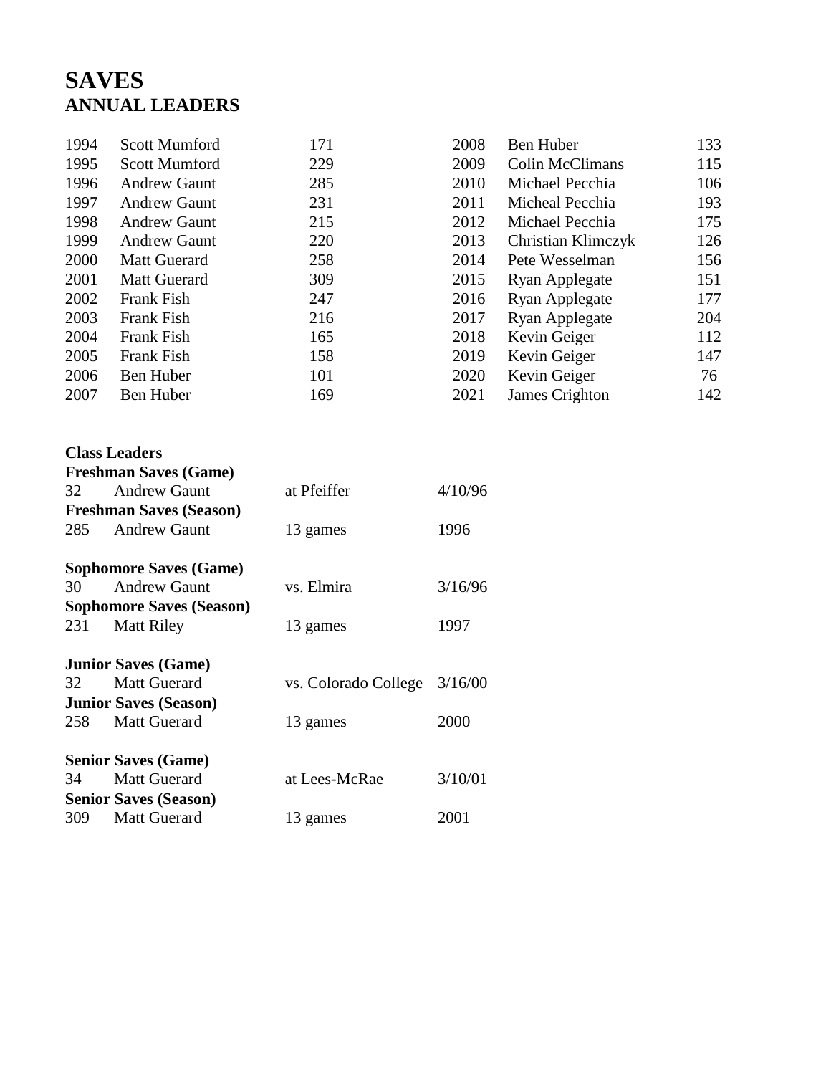# **SAVES ANNUAL LEADERS**

| 1994 | <b>Scott Mumford</b> | 171 | 2008 | Ben Huber              | 133 |
|------|----------------------|-----|------|------------------------|-----|
| 1995 | <b>Scott Mumford</b> | 229 | 2009 | <b>Colin McClimans</b> | 115 |
| 1996 | <b>Andrew Gaunt</b>  | 285 | 2010 | Michael Pecchia        | 106 |
| 1997 | <b>Andrew Gaunt</b>  | 231 | 2011 | Micheal Pecchia        | 193 |
| 1998 | <b>Andrew Gaunt</b>  | 215 | 2012 | Michael Pecchia        | 175 |
| 1999 | <b>Andrew Gaunt</b>  | 220 | 2013 | Christian Klimczyk     | 126 |
| 2000 | <b>Matt Guerard</b>  | 258 | 2014 | Pete Wesselman         | 156 |
| 2001 | <b>Matt Guerard</b>  | 309 | 2015 | Ryan Applegate         | 151 |
| 2002 | Frank Fish           | 247 | 2016 | Ryan Applegate         | 177 |
| 2003 | Frank Fish           | 216 | 2017 | <b>Ryan Applegate</b>  | 204 |
| 2004 | Frank Fish           | 165 | 2018 | Kevin Geiger           | 112 |
| 2005 | Frank Fish           | 158 | 2019 | Kevin Geiger           | 147 |
| 2006 | Ben Huber            | 101 | 2020 | Kevin Geiger           | 76  |
| 2007 | Ben Huber            | 169 | 2021 | James Crighton         | 142 |

|     | <b>Class Leaders</b>            |                      |         |
|-----|---------------------------------|----------------------|---------|
|     | <b>Freshman Saves (Game)</b>    |                      |         |
| 32  | <b>Andrew Gaunt</b>             | at Pfeiffer          | 4/10/96 |
|     | <b>Freshman Saves (Season)</b>  |                      |         |
| 285 | <b>Andrew Gaunt</b>             | 13 games             | 1996    |
|     | <b>Sophomore Saves (Game)</b>   |                      |         |
| 30  | <b>Andrew Gaunt</b>             | vs. Elmira           | 3/16/96 |
|     | <b>Sophomore Saves (Season)</b> |                      |         |
| 231 | <b>Matt Riley</b>               | 13 games             | 1997    |
|     | <b>Junior Saves (Game)</b>      |                      |         |
| 32  | <b>Matt Guerard</b>             | vs. Colorado College | 3/16/00 |
|     | <b>Junior Saves (Season)</b>    |                      |         |
| 258 | <b>Matt Guerard</b>             | 13 games             | 2000    |
|     | <b>Senior Saves (Game)</b>      |                      |         |
| 34  | <b>Matt Guerard</b>             | at Lees-McRae        | 3/10/01 |
|     | <b>Senior Saves (Season)</b>    |                      |         |
| 309 | <b>Matt Guerard</b>             | 13 games             | 2001    |
|     |                                 |                      |         |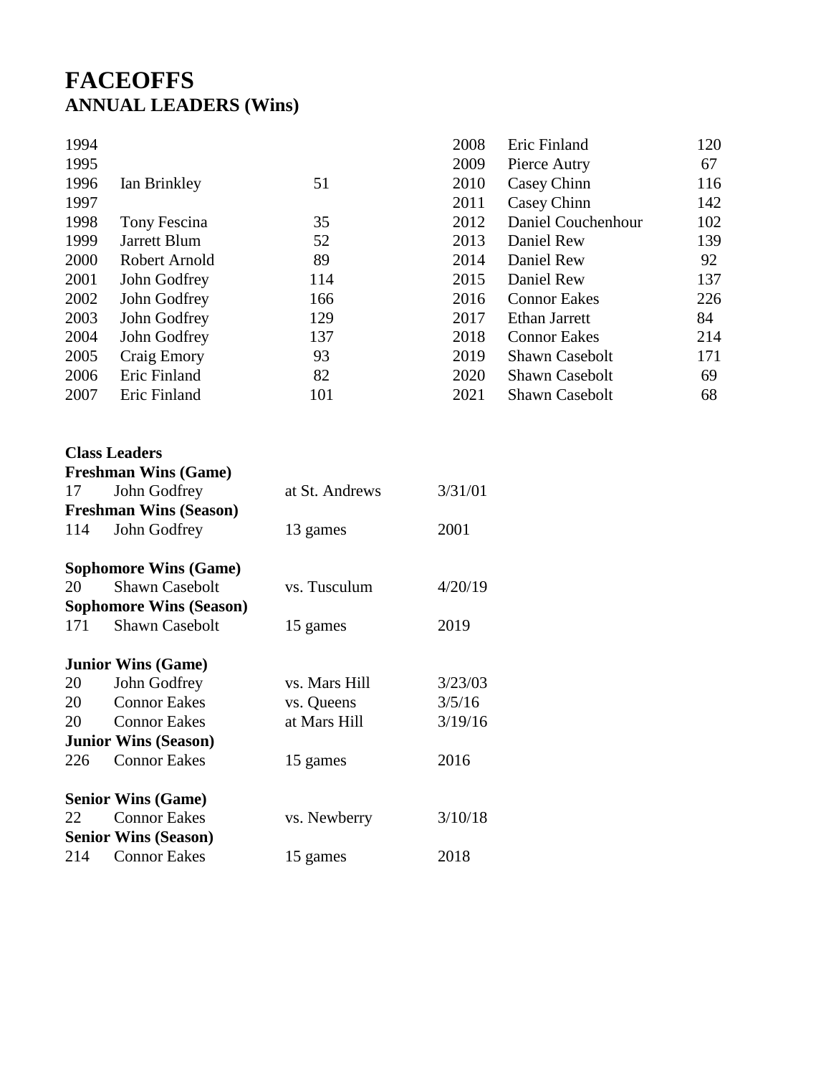## **FACEOFFS ANNUAL LEADERS (Wins)**

| 1994 |               |     | 2008 | Eric Finland          | 120 |
|------|---------------|-----|------|-----------------------|-----|
| 1995 |               |     | 2009 | Pierce Autry          | 67  |
| 1996 | Ian Brinkley  | 51  | 2010 | Casey Chinn           | 116 |
| 1997 |               |     | 2011 | Casey Chinn           | 142 |
| 1998 | Tony Fescina  | 35  | 2012 | Daniel Couchenhour    | 102 |
| 1999 | Jarrett Blum  | 52  | 2013 | Daniel Rew            | 139 |
| 2000 | Robert Arnold | 89  | 2014 | Daniel Rew            | 92  |
| 2001 | John Godfrey  | 114 | 2015 | Daniel Rew            | 137 |
| 2002 | John Godfrey  | 166 | 2016 | <b>Connor Eakes</b>   | 226 |
| 2003 | John Godfrey  | 129 | 2017 | Ethan Jarrett         | 84  |
| 2004 | John Godfrey  | 137 | 2018 | <b>Connor Eakes</b>   | 214 |
| 2005 | Craig Emory   | 93  | 2019 | <b>Shawn Casebolt</b> | 171 |
| 2006 | Eric Finland  | 82  | 2020 | <b>Shawn Casebolt</b> | 69  |
| 2007 | Eric Finland  | 101 | 2021 | <b>Shawn Casebolt</b> | 68  |
|      |               |     |      |                       |     |

## **Class Leaders Freshman Wins (Game)** 17 John Godfrey at St. Andrews  $3/31/01$ **Freshman Wins (Season)** 114 John Godfrey 13 games 2001 **Sophomore Wins (Game)** 20 Shawn Casebolt vs. Tusculum  $4/20/19$ **Sophomore Wins (Season)** 171 Shawn Casebolt 15 games 2019 **Junior Wins (Game)** 20 John Godfrey vs. Mars Hill  $3/23/03$ 20 Connor Eakes vs. Queens 3/5/16 20 Connor Eakes at Mars Hill  $3/19/16$ **Junior Wins (Season)** 226 Connor Eakes 15 games 2016 **Senior Wins (Game)** 22 Connor Eakes vs. Newberry 3/10/18 **Senior Wins (Season)** 214 Connor Eakes 15 games 2018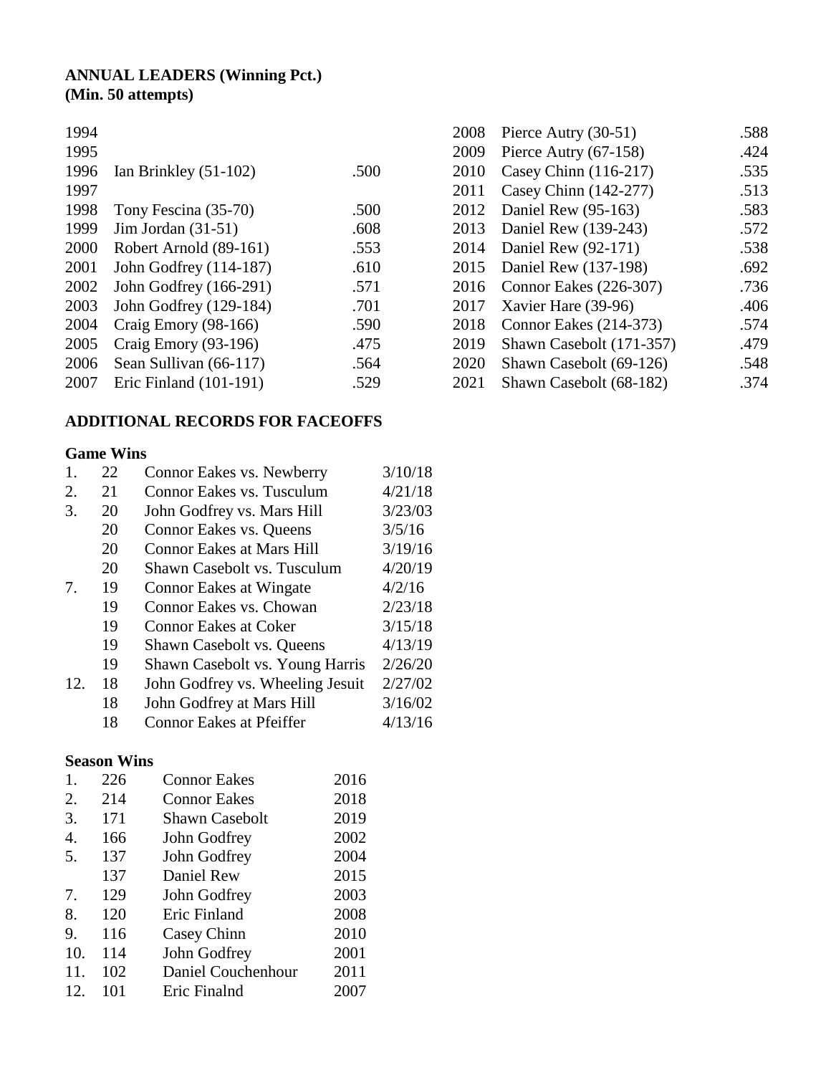## **ANNUAL LEADERS (Winning Pct.) (Min. 50 attempts)**

| 1994 |                         |      |
|------|-------------------------|------|
| 1995 |                         |      |
| 1996 | Ian Brinkley $(51-102)$ | .500 |
| 1997 |                         |      |
| 1998 | Tony Fescina (35-70)    | .500 |
| 1999 | Jim Jordan $(31-51)$    | .608 |
| 2000 | Robert Arnold (89-161)  | .553 |
| 2001 | John Godfrey (114-187)  | .610 |
| 2002 | John Godfrey (166-291)  | .571 |
| 2003 | John Godfrey (129-184)  | .701 |
| 2004 | Craig Emory (98-166)    | .590 |
| 2005 | Craig Emory (93-196)    | .475 |
| 2006 | Sean Sullivan (66-117)  | .564 |
| 2007 | Eric Finland (101-191)  | .529 |
|      |                         |      |

## **ADDITIONAL RECORDS FOR FACEOFFS**

### **Game Wins**

|     | 22 | Connor Eakes vs. Newberry        | 3/10/18 |
|-----|----|----------------------------------|---------|
| 2.  | 21 | Connor Eakes vs. Tusculum        | 4/21/18 |
| 3.  | 20 | John Godfrey vs. Mars Hill       | 3/23/03 |
|     | 20 | Connor Eakes vs. Queens          | 3/5/16  |
|     | 20 | <b>Connor Eakes at Mars Hill</b> | 3/19/16 |
|     | 20 | Shawn Casebolt vs. Tusculum      | 4/20/19 |
| 7.  | 19 | <b>Connor Eakes at Wingate</b>   | 4/2/16  |
|     | 19 | Connor Eakes vs. Chowan          | 2/23/18 |
|     | 19 | <b>Connor Eakes at Coker</b>     | 3/15/18 |
|     | 19 | Shawn Casebolt vs. Queens        | 4/13/19 |
|     | 19 | Shawn Casebolt vs. Young Harris  | 2/26/20 |
| 12. | 18 | John Godfrey vs. Wheeling Jesuit | 2/27/02 |
|     | 18 | John Godfrey at Mars Hill        | 3/16/02 |
|     | 18 | <b>Connor Eakes at Pfeiffer</b>  | 4/13/16 |

### **Season Wins**

| 1.  | 226 | <b>Connor Eakes</b>   | 2016 |
|-----|-----|-----------------------|------|
| 2.  | 214 | <b>Connor Eakes</b>   | 2018 |
| 3.  | 171 | <b>Shawn Casebolt</b> | 2019 |
| 4.  | 166 | John Godfrey          | 2002 |
| 5.  | 137 | John Godfrey          | 2004 |
|     | 137 | Daniel Rew            | 2015 |
| 7.  | 129 | John Godfrey          | 2003 |
| 8.  | 120 | Eric Finland          | 2008 |
| 9.  | 116 | Casey Chinn           | 2010 |
| 10. | 114 | John Godfrey          | 2001 |
| 11. | 102 | Daniel Couchenhour    | 2011 |
| 12. | 101 | Eric Finalnd          | 2007 |

| 2008 | Pierce Autry (30-51)     | .588 |
|------|--------------------------|------|
| 2009 | Pierce Autry (67-158)    | .424 |
| 2010 | Casey Chinn (116-217)    | .535 |
| 2011 | Casey Chinn (142-277)    | .513 |
| 2012 | Daniel Rew (95-163)      | .583 |
| 2013 | Daniel Rew (139-243)     | .572 |
| 2014 | Daniel Rew (92-171)      | .538 |
| 2015 | Daniel Rew (137-198)     | .692 |
| 2016 | Connor Eakes (226-307)   | .736 |
| 2017 | Xavier Hare (39-96)      | .406 |
| 2018 | Connor Eakes (214-373)   | .574 |
| 2019 | Shawn Casebolt (171-357) | .479 |
| 2020 | Shawn Casebolt (69-126)  | .548 |
| 2021 | Shawn Casebolt (68-182)  | .374 |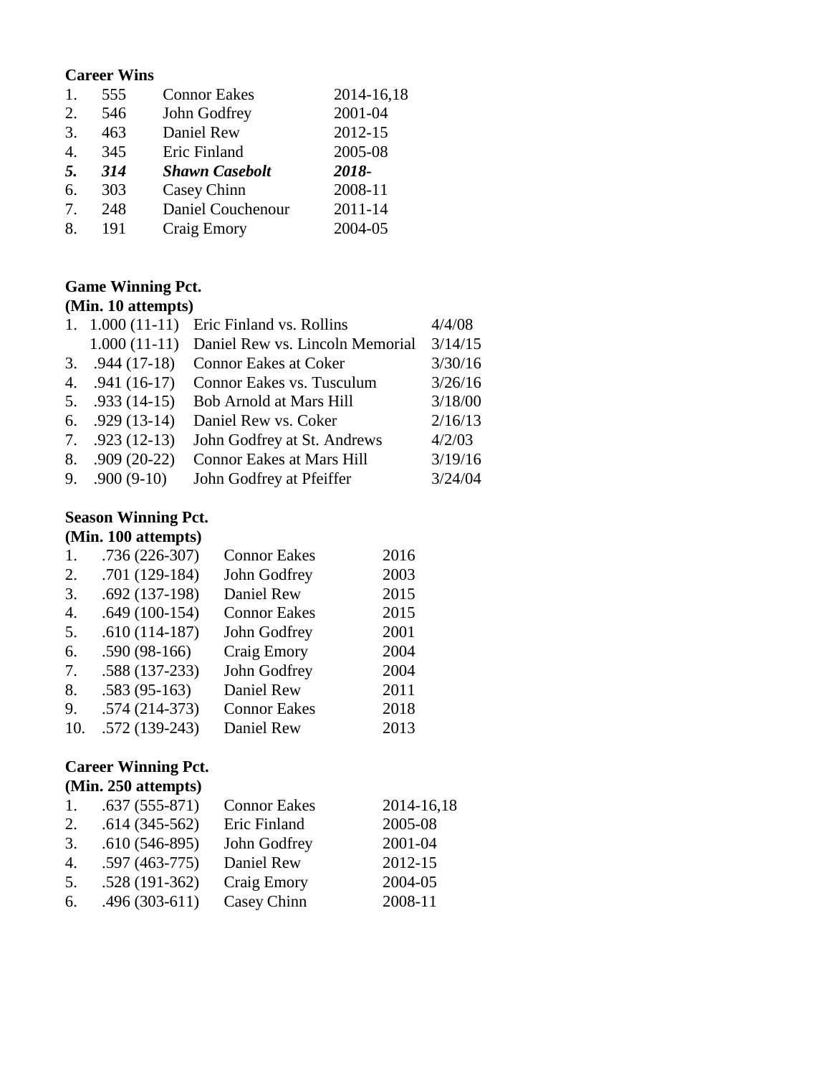### **Career Wins**

| 1. | 555 | <b>Connor Eakes</b>   | 2014-16,18 |
|----|-----|-----------------------|------------|
| 2. | 546 | John Godfrey          | 2001-04    |
| 3. | 463 | Daniel Rew            | 2012-15    |
| 4. | 345 | Eric Finland          | 2005-08    |
| 5. | 314 | <b>Shawn Casebolt</b> | 2018-      |
| 6. |     |                       |            |
|    | 303 | Casey Chinn           | 2008-11    |
| 7. | 248 | Daniel Couchenour     | 2011-14    |

## **Game Winning Pct.**

# **(Min. 10 attempts)**

|                        |                                  | 4/4/08                                     |
|------------------------|----------------------------------|--------------------------------------------|
| $1.000(11-11)$         | Daniel Rew vs. Lincoln Memorial  | 3/14/15                                    |
| $3. \quad .944(17-18)$ | <b>Connor Eakes at Coker</b>     | 3/30/16                                    |
| 4. $.941(16-17)$       | Connor Eakes vs. Tusculum        | 3/26/16                                    |
| 5. $.933(14-15)$       | Bob Arnold at Mars Hill          | 3/18/00                                    |
| 6. $.929(13-14)$       | Daniel Rew vs. Coker             | 2/16/13                                    |
| 7. $.923(12-13)$       | John Godfrey at St. Andrews      | 4/2/03                                     |
| $.909(20-22)$          | <b>Connor Eakes at Mars Hill</b> | 3/19/16                                    |
| $9. \quad .900(9-10)$  | John Godfrey at Pfeiffer         | 3/24/04                                    |
|                        |                                  | 1. $1.000(11-11)$ Eric Finland vs. Rollins |

### **Season Winning Pct.**

### **(Min. 100 attempts)**

| 1.  | .736 (226-307)  | <b>Connor Eakes</b> | 2016 |
|-----|-----------------|---------------------|------|
| 2.  | $.701(129-184)$ | John Godfrey        | 2003 |
| 3.  | $.692(137-198)$ | Daniel Rew          | 2015 |
| 4.  | $.649(100-154)$ | <b>Connor Eakes</b> | 2015 |
| 5.  | $.610(114-187)$ | John Godfrey        | 2001 |
| 6.  | $.590(98-166)$  | Craig Emory         | 2004 |
| 7.  | .588 (137-233)  | John Godfrey        | 2004 |
| 8.  | $.583(95-163)$  | Daniel Rew          | 2011 |
| 9.  | $.574(214-373)$ | <b>Connor Eakes</b> | 2018 |
| 10. | .572 (139-243)  | Daniel Rew          | 2013 |

### **Career Winning Pct. (Min. 250 attempts)**

| 1. | $.637(555-871)$ | <b>Connor Eakes</b> | 2014-16,18 |
|----|-----------------|---------------------|------------|
| 2. | $.614(345-562)$ | Eric Finland        | 2005-08    |
| 3. | $.610(546-895)$ | John Godfrey        | 2001-04    |
| 4. | $.597(463-775)$ | Daniel Rew          | 2012-15    |
| 5. | $.528(191-362)$ | Craig Emory         | 2004-05    |
| 6. | $.496(303-611)$ | Casey Chinn         | 2008-11    |
|    |                 |                     |            |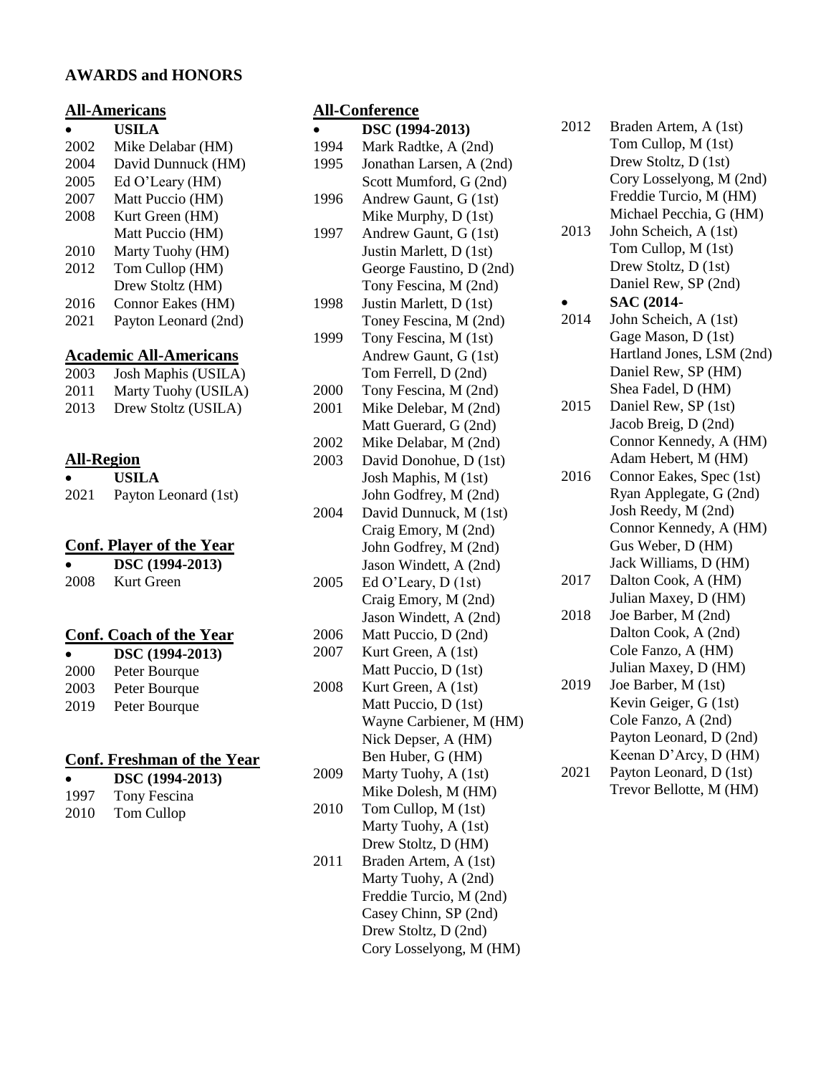### **AWARDS and HONORS**

### **All-Americans**

|      | USILA                         |
|------|-------------------------------|
| 2002 | Mike Delabar (HM)             |
| 2004 | David Dunnuck (HM)            |
| 2005 | Ed O'Leary (HM)               |
| 2007 | Matt Puccio (HM)              |
| 2008 | Kurt Green (HM)               |
|      | Matt Puccio (HM)              |
| 2010 | Marty Tuohy (HM)              |
| 2012 | Tom Cullop (HM)               |
|      | Drew Stoltz (HM)              |
| 2016 | Connor Eakes (HM)             |
| 2021 | Payton Leonard (2nd)          |
|      | <b>Academic All-Americans</b> |
| 2003 | Josh Maphis (USILA)           |
|      |                               |

| 2011 | Marty Tuohy (USILA) |
|------|---------------------|
| 2013 | Drew Stoltz (USILA) |

### **All-Region**

| ٠    | <b>USILA</b>         |
|------|----------------------|
| 2021 | Payton Leonard (1st) |

### **Conf. Player of the Year**

| $\bullet$ | DSC (1994-2013) |
|-----------|-----------------|
| 2008      | Kurt Green      |

#### **Conf. Coach of the Year**

|      | DSC (1994-2013) |
|------|-----------------|
| 2000 | Peter Bourque   |
| 2003 | Peter Bourque   |
| 2019 | Peter Bourque   |

### **Conf. Freshman of the Year**

|      | DSC (1994-2013) |
|------|-----------------|
| 1997 | Tony Fescina    |
| 2010 | Tom Cullop      |

### **All-Conference**

|      | $\ddot{\phantom{a}}$     |
|------|--------------------------|
|      | DSC (1994-2013)          |
| 1994 | Mark Radtke, A (2nd)     |
| 1995 | Jonathan Larsen, A (2nd) |
|      | Scott Mumford, G (2nd)   |
| 1996 | Andrew Gaunt, G (1st)    |
|      | Mike Murphy, D (1st)     |
| 1997 | Andrew Gaunt, G (1st)    |
|      | Justin Marlett, D (1st)  |
|      | George Faustino, D (2nd) |
|      | Tony Fescina, M (2nd)    |
| 1998 | Justin Marlett, D (1st)  |
|      | Toney Fescina, M (2nd)   |
| 1999 | Tony Fescina, M (1st)    |
|      | Andrew Gaunt, G (1st)    |
|      | Tom Ferrell, D (2nd)     |
| 2000 | Tony Fescina, M (2nd)    |
| 2001 | Mike Delebar, M (2nd)    |
|      | Matt Guerard, G (2nd)    |
| 2002 | Mike Delabar, M (2nd)    |
| 2003 | David Donohue, D (1st)   |
|      | Josh Maphis, M (1st)     |
|      | John Godfrey, M (2nd)    |
| 2004 | David Dunnuck, M (1st)   |
|      | Craig Emory, M (2nd)     |
|      | John Godfrey, M (2nd)    |
|      | Jason Windett, A (2nd)   |
| 2005 | Ed O'Leary, D (1st)      |
|      | Craig Emory, M (2nd)     |
|      | Jason Windett, A (2nd)   |
| 2006 | Matt Puccio, D (2nd)     |
| 2007 | Kurt Green, A (1st)      |
|      | Matt Puccio, D (1st)     |
| 2008 | Kurt Green, A (1st)      |
|      | Matt Puccio, D (1st)     |
|      | Wayne Carbiener, M (HM)  |
|      | Nick Depser, A (HM)      |
|      | Ben Huber, G (HM)        |
| 2009 | Marty Tuohy, A (1st)     |
|      | Mike Dolesh, M (HM)      |
| 2010 | Tom Cullop, M (1st)      |
|      | Marty Tuohy, A (1st)     |
|      | Drew Stoltz, D (HM)      |
| 2011 | Braden Artem, A (1st)    |
|      |                          |

Marty Tuohy, A (2nd) Freddie Turcio, M (2nd) Casey Chinn, SP (2nd) Drew Stoltz, D (2nd) Cory Losselyong, M (HM)

| 2012 | Braden Artem, A (1st)     |
|------|---------------------------|
|      | Tom Cullop, M (1st)       |
|      | Drew Stoltz, D (1st)      |
|      | Cory Losselyong, M (2nd)  |
|      | Freddie Turcio, M (HM)    |
|      | Michael Pecchia, G (HM)   |
| 2013 | John Scheich, A (1st)     |
|      | Tom Cullop, M (1st)       |
|      | Drew Stoltz, D (1st)      |
|      | Daniel Rew, SP (2nd)      |
|      | SAC (2014-                |
| 2014 | John Scheich, A (1st)     |
|      | Gage Mason, D (1st)       |
|      | Hartland Jones, LSM (2nd) |
|      | Daniel Rew, SP (HM)       |
|      | Shea Fadel, D (HM)        |
| 2015 | Daniel Rew, SP (1st)      |
|      | Jacob Breig, D (2nd)      |
|      |                           |

Connor Kennedy, A (HM) Adam Hebert, M (HM) 2016 Connor Eakes, Spec (1st) Ryan Applegate, G (2nd) Josh Reedy, M (2nd) Connor Kennedy, A (HM) Gus Weber, D (HM)

Jack Williams, D (HM) 2017 Dalton Cook, A (HM) Julian Maxey, D (HM)

- 2018 Joe Barber, M (2nd) Dalton Cook, A (2nd) Cole Fanzo, A (HM) Julian Maxey, D (HM)
- 2019 Joe Barber, M (1st) Kevin Geiger, G (1st) Cole Fanzo, A (2nd) Payton Leonard, D (2nd) Keenan D'Arcy, D (HM)
- 2021 Payton Leonard, D (1st) Trevor Bellotte, M (HM)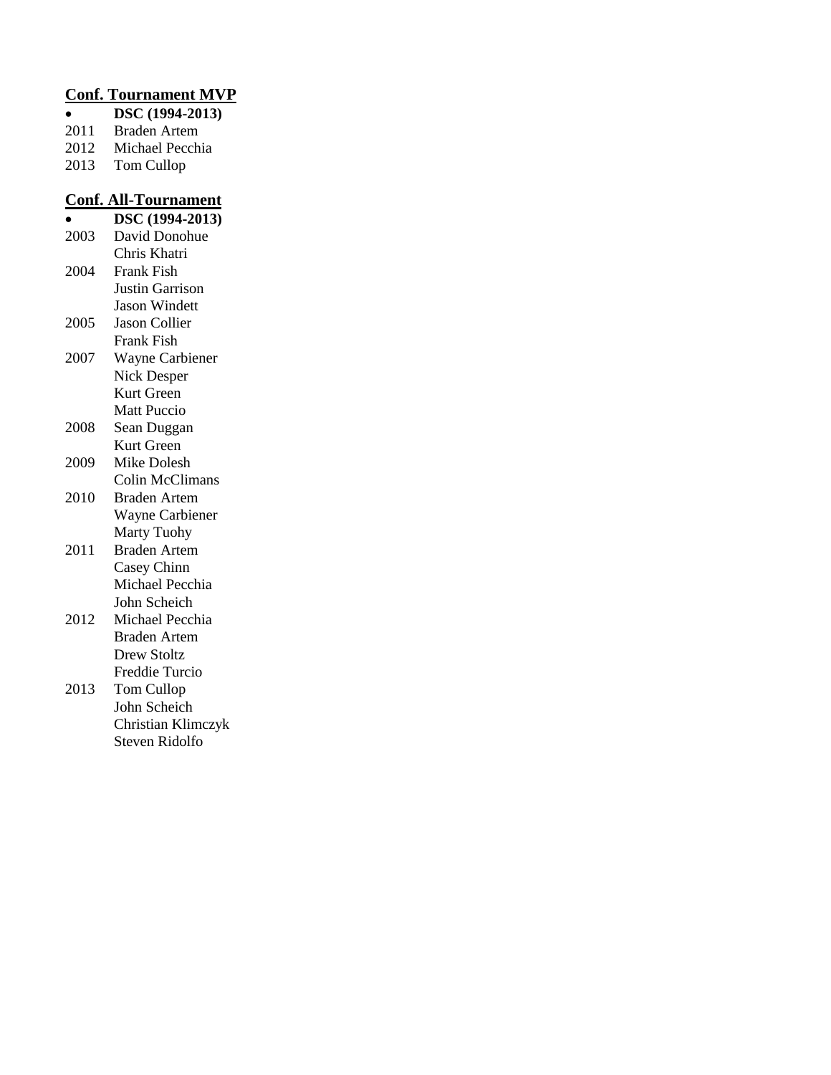### **Conf. Tournament MVP**

- **DSC (1994-2013)**
- 2011 Braden Artem
- 2012 Michael Pecchia<br>2013 Tom Cullop
- Tom Cullop

## **Conf. All-Tournament**

|      | DSC (1994-2013)        |
|------|------------------------|
| 2003 | David Donohue          |
|      | Chris Khatri           |
| 2004 | <b>Frank Fish</b>      |
|      | <b>Justin Garrison</b> |
|      | <b>Jason Windett</b>   |
| 2005 | <b>Jason Collier</b>   |
|      | <b>Frank Fish</b>      |
| 2007 | Wayne Carbiener        |
|      | Nick Desper            |
|      | Kurt Green             |
|      | <b>Matt Puccio</b>     |
| 2008 | Sean Duggan            |
|      | Kurt Green             |
| 2009 | Mike Dolesh            |
|      | <b>Colin McClimans</b> |
| 2010 | <b>Braden Artem</b>    |
|      | <b>Wayne Carbiener</b> |
|      | <b>Marty Tuohy</b>     |
| 2011 | <b>Braden Artem</b>    |
|      | Casey Chinn            |
|      | Michael Pecchia        |
|      | John Scheich           |
| 2012 | Michael Pecchia        |
|      | <b>Braden Artem</b>    |
|      | <b>Drew Stoltz</b>     |
|      | Freddie Turcio         |
| 2013 | <b>Tom Cullop</b>      |

John Scheich Christian Klimczyk Steven Ridolfo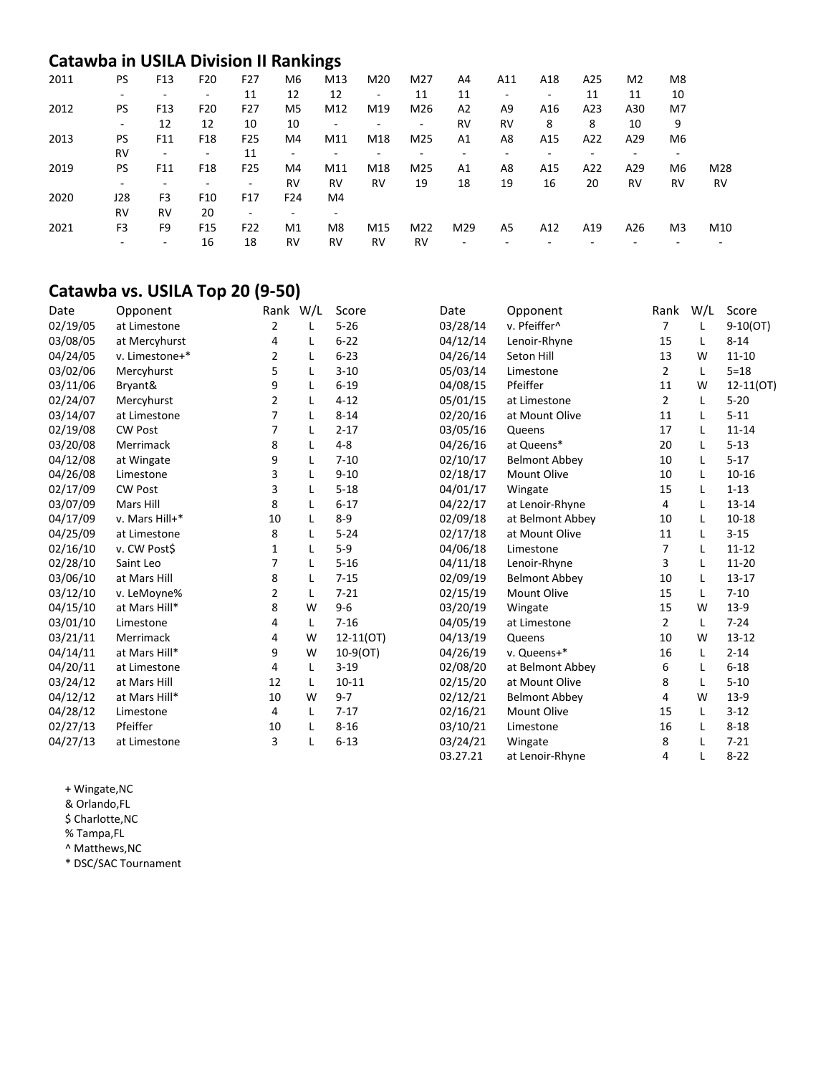## **Catawba in USILA Division II Rankings**

| 2011 | <b>PS</b> | F13                      | F <sub>20</sub> | F <sub>27</sub> | M6                           | M13 | M20       | M27                      | A4             | A11 | A18 | A25 | M <sub>2</sub> | M <sub>8</sub> |     |
|------|-----------|--------------------------|-----------------|-----------------|------------------------------|-----|-----------|--------------------------|----------------|-----|-----|-----|----------------|----------------|-----|
|      |           |                          | ۰               | 11              | 12                           | 12  |           | 11                       | 11             |     | ٠   | 11  | 11             | 10             |     |
| 2012 | PS.       | F <sub>13</sub>          | F <sub>20</sub> | F <sub>27</sub> | M5                           | M12 | M19       | M26                      | A <sub>2</sub> | A9  | A16 | A23 | A30            | M7             |     |
|      |           | 12                       | 12              | 10              | 10                           | -   |           | $\overline{\phantom{a}}$ | <b>RV</b>      | RV  | 8   | 8   | 10             | 9              |     |
| 2013 | PS.       | F11                      | F18             | F <sub>25</sub> | M4                           | M11 | M18       | M25                      | A <sub>1</sub> | A8  | A15 | A22 | A29            | M <sub>6</sub> |     |
|      | RV        | $\overline{\phantom{a}}$ | ۰               | 11              | $\qquad \qquad \blacksquare$ |     |           | -                        |                |     |     |     |                | -              |     |
| 2019 | <b>PS</b> | F11                      | F18             | F <sub>25</sub> | M4                           | M11 | M18       | M25                      | A <sub>1</sub> | A8  | A15 | A22 | A29            | M <sub>6</sub> | M28 |
|      |           |                          |                 | ۰               | <b>RV</b>                    | RV  | <b>RV</b> | 19                       | 18             | 19  | 16  | 20  | <b>RV</b>      | <b>RV</b>      | RV  |
| 2020 | J28       | F <sub>3</sub>           | F <sub>10</sub> | F <sub>17</sub> | F24                          | M4  |           |                          |                |     |     |     |                |                |     |
|      | RV        | <b>RV</b>                | 20              | ۰               | ٠                            | -   |           |                          |                |     |     |     |                |                |     |
| 2021 | F3        | F9                       | F <sub>15</sub> | F <sub>22</sub> | M1                           | M8  | M15       | M22                      | M29            | A5  | A12 | A19 | A26            | M3             | M10 |
|      |           | $\overline{\phantom{a}}$ | 16              | 18              | RV                           | RV  | <b>RV</b> | RV                       |                |     |     |     |                |                |     |

## **Catawba vs. USILA Top 20 (9-50)**

| Date     | Opponent       |                | Rank W/L | Score       | Date     | Opponent             | Rank           | W/L | Score         |
|----------|----------------|----------------|----------|-------------|----------|----------------------|----------------|-----|---------------|
| 02/19/05 | at Limestone   | $\overline{2}$ | L        | $5 - 26$    | 03/28/14 | v. Pfeiffer^         | $\overline{7}$ | L   | $9-10(OT)$    |
| 03/08/05 | at Mercyhurst  | 4              | L        | $6 - 22$    | 04/12/14 | Lenoir-Rhyne         | 15             | L   | $8 - 14$      |
| 04/24/05 | v. Limestone+* | $\overline{2}$ | L        | $6 - 23$    | 04/26/14 | Seton Hill           | 13             | W   | $11 - 10$     |
| 03/02/06 | Mercyhurst     | 5              | L        | $3 - 10$    | 05/03/14 | Limestone            | $\overline{2}$ | L   | $5 = 18$      |
| 03/11/06 | Bryant&        | 9              | L        | $6 - 19$    | 04/08/15 | Pfeiffer             | 11             | W   | $12 - 11(0T)$ |
| 02/24/07 | Mercyhurst     | $\overline{2}$ | L        | $4 - 12$    | 05/01/15 | at Limestone         | $\overline{2}$ | L   | $5 - 20$      |
| 03/14/07 | at Limestone   | 7              | L        | $8 - 14$    | 02/20/16 | at Mount Olive       | 11             | L   | $5 - 11$      |
| 02/19/08 | <b>CW Post</b> | 7              | L        | $2 - 17$    | 03/05/16 | Queens               | 17             | L   | $11 - 14$     |
| 03/20/08 | Merrimack      | 8              | L        | $4 - 8$     | 04/26/16 | at Queens*           | 20             | L   | $5 - 13$      |
| 04/12/08 | at Wingate     | 9              | L        | $7 - 10$    | 02/10/17 | <b>Belmont Abbey</b> | 10             | L   | $5 - 17$      |
| 04/26/08 | Limestone      | 3              | L        | $9 - 10$    | 02/18/17 | Mount Olive          | 10             | L   | $10 - 16$     |
| 02/17/09 | <b>CW Post</b> | 3              | L        | $5 - 18$    | 04/01/17 | Wingate              | 15             | L   | $1 - 13$      |
| 03/07/09 | Mars Hill      | 8              | L        | $6 - 17$    | 04/22/17 | at Lenoir-Rhyne      | 4              | L   | $13 - 14$     |
| 04/17/09 | v. Mars Hill+* | 10             | L        | $8 - 9$     | 02/09/18 | at Belmont Abbey     | 10             | L   | $10 - 18$     |
| 04/25/09 | at Limestone   | 8              | L        | $5 - 24$    | 02/17/18 | at Mount Olive       | 11             | L   | $3 - 15$      |
| 02/16/10 | v. CW Post\$   | 1              | Г        | $5-9$       | 04/06/18 | Limestone            | 7              |     | $11 - 12$     |
| 02/28/10 | Saint Leo      | 7              | L        | $5 - 16$    | 04/11/18 | Lenoir-Rhyne         | 3              | L   | 11-20         |
| 03/06/10 | at Mars Hill   | 8              | L        | $7 - 15$    | 02/09/19 | <b>Belmont Abbey</b> | 10             | L   | $13 - 17$     |
| 03/12/10 | v. LeMoyne%    | 2              | L        | $7 - 21$    | 02/15/19 | <b>Mount Olive</b>   | 15             | L   | $7 - 10$      |
| 04/15/10 | at Mars Hill*  | 8              | W        | $9 - 6$     | 03/20/19 | Wingate              | 15             | W   | $13-9$        |
| 03/01/10 | Limestone      | 4              | L        | $7 - 16$    | 04/05/19 | at Limestone         | $\overline{2}$ | L   | $7 - 24$      |
| 03/21/11 | Merrimack      | 4              | W        | $12-11(0T)$ | 04/13/19 | Queens               | 10             | W   | $13 - 12$     |
| 04/14/11 | at Mars Hill*  | 9              | W        | $10-9(0T)$  | 04/26/19 | v. Queens+*          | 16             | L   | $2 - 14$      |
| 04/20/11 | at Limestone   | 4              | L        | $3-19$      | 02/08/20 | at Belmont Abbey     | 6              | L   | $6 - 18$      |
| 03/24/12 | at Mars Hill   | 12             | L        | $10 - 11$   | 02/15/20 | at Mount Olive       | 8              | L   | $5 - 10$      |
| 04/12/12 | at Mars Hill*  | 10             | W        | $9 - 7$     | 02/12/21 | <b>Belmont Abbey</b> | 4              | W   | $13-9$        |
| 04/28/12 | Limestone      | 4              | L        | $7 - 17$    | 02/16/21 | <b>Mount Olive</b>   | 15             | L   | $3 - 12$      |
| 02/27/13 | Pfeiffer       | 10             | L        | $8 - 16$    | 03/10/21 | Limestone            | 16             | L   | $8 - 18$      |
| 04/27/13 | at Limestone   | 3              | L        | $6 - 13$    | 03/24/21 | Wingate              | 8              |     | $7 - 21$      |
|          |                |                |          |             | 03.27.21 | at Lenoir-Rhyne      | 4              | L   | $8 - 22$      |

+ Wingate,NC

& Orlando,FL

\$ Charlotte,NC

% Tampa,FL

^ Matthews,NC

\* DSC/SAC Tournament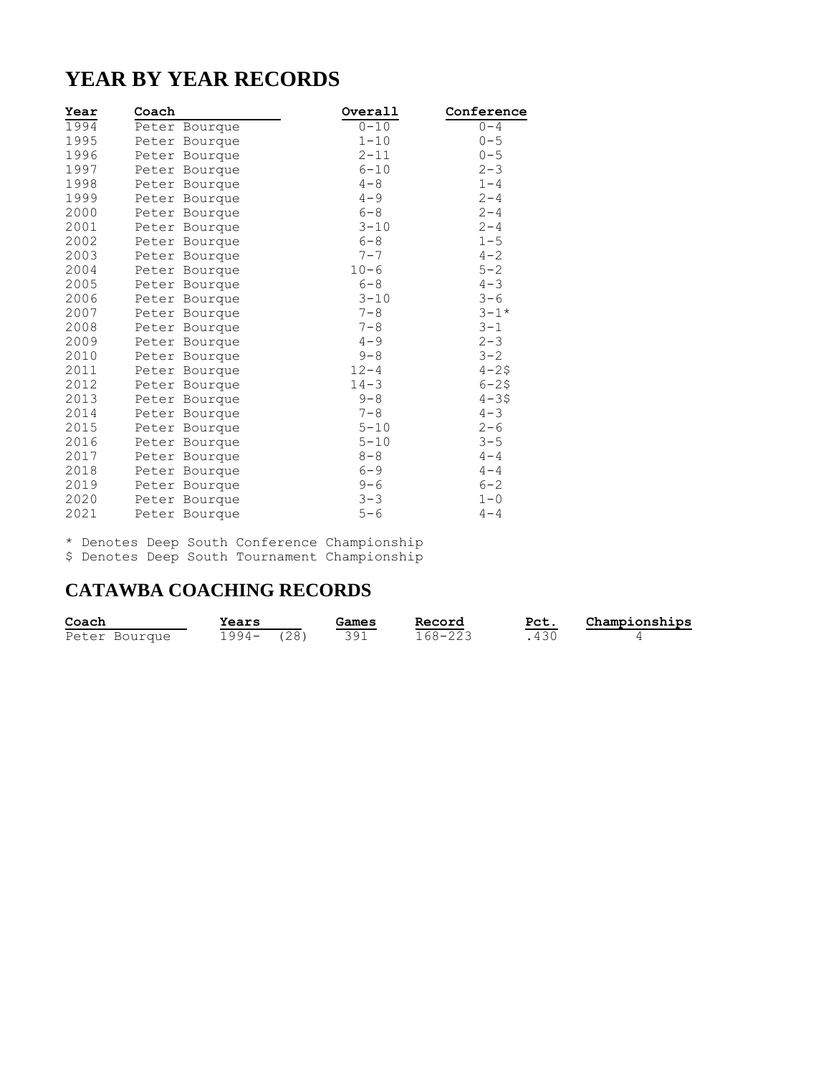# **YEAR BY YEAR RECORDS**

| Year | Coach |               | Overall  | Conference |
|------|-------|---------------|----------|------------|
| 1994 |       | Peter Bourque | $0 - 10$ | $0 - 4$    |
| 1995 |       | Peter Bourque | $1 - 10$ | $0 - 5$    |
| 1996 |       | Peter Bourque | $2 - 11$ | $0 - 5$    |
| 1997 |       | Peter Bourque | $6 - 10$ | $2 - 3$    |
| 1998 |       | Peter Bourque | $4 - 8$  | $1 - 4$    |
| 1999 |       | Peter Bourque | $4 - 9$  | $2 - 4$    |
| 2000 |       | Peter Bourque | $6 - 8$  | $2 - 4$    |
| 2001 |       | Peter Bourque | $3 - 10$ | $2 - 4$    |
| 2002 |       | Peter Bourque | $6 - 8$  | $1 - 5$    |
| 2003 |       | Peter Bourque | $7 - 7$  | $4 - 2$    |
| 2004 |       | Peter Bourque | $10 - 6$ | $5 - 2$    |
| 2005 |       | Peter Bourque | $6 - 8$  | $4 - 3$    |
| 2006 |       | Peter Bourque | $3 - 10$ | $3 - 6$    |
| 2007 |       | Peter Bourque | $7 - 8$  | $3 - 1*$   |
| 2008 |       | Peter Bourque | $7 - 8$  | $3 - 1$    |
| 2009 |       | Peter Bourque | $4 - 9$  | $2 - 3$    |
| 2010 |       | Peter Bourque | $9 - 8$  | $3 - 2$    |
| 2011 |       | Peter Bourque | $12 - 4$ | $4 - 25$   |
| 2012 |       | Peter Bourque | $14 - 3$ | $6 - 25$   |
| 2013 |       | Peter Bourque | $9 - 8$  | $4 - 35$   |
| 2014 |       | Peter Bourque | $7 - 8$  | $4 - 3$    |
| 2015 |       | Peter Bourque | $5 - 10$ | $2 - 6$    |
| 2016 |       | Peter Bourque | $5 - 10$ | $3 - 5$    |
| 2017 |       | Peter Bourque | $8 - 8$  | $4 - 4$    |
| 2018 |       | Peter Bourque | $6 - 9$  | $4 - 4$    |
| 2019 |       | Peter Bourque | $9 - 6$  | $6 - 2$    |
| 2020 |       | Peter Bourque | $3 - 3$  | $1 - 0$    |
| 2021 |       | Peter Bourque | $5 - 6$  | $4 - 4$    |

\* Denotes Deep South Conference Championship \$ Denotes Deep South Tournament Championship

## **CATAWBA COACHING RECORDS**

| Coach         | Years    |      | Games | Record  | Pct. | Championships |
|---------------|----------|------|-------|---------|------|---------------|
| Peter Bourque | $1994 -$ | (28) | 391   | 168-223 |      |               |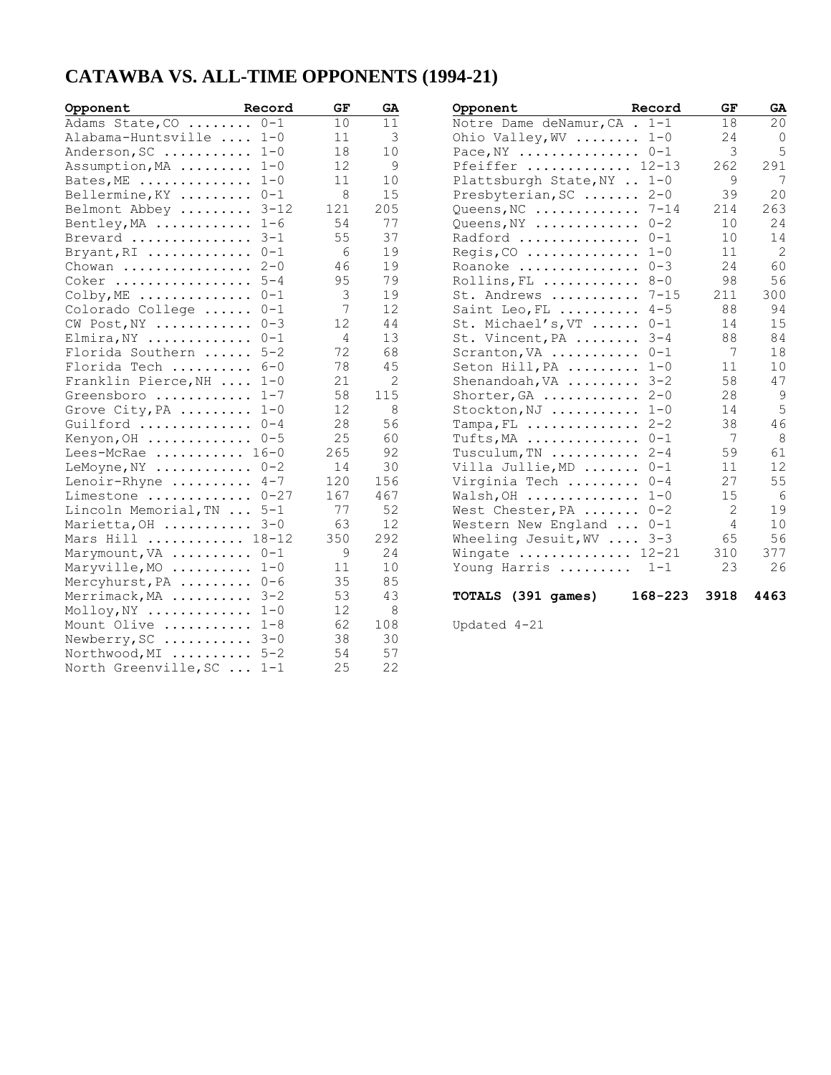## **CATAWBA VS. ALL-TIME OPPONENTS (1994-21)**

| Opponent                                  | Record  | GF  | GA  | Opponent                                    | Record  | GF   | GA             |
|-------------------------------------------|---------|-----|-----|---------------------------------------------|---------|------|----------------|
| Adams State, CO                           | $0 - 1$ | 10  | 11  | Notre Dame deNamur, CA . 1-1                |         | 18   | 20             |
| Alabama-Huntsville  1-0                   |         | 11  | 3   | Ohio Valley, WV $1-0$                       |         | 24   | $\overline{0}$ |
| Anderson, SC                              | $1 - 0$ | 18  | 10  | Pace, $NY$ $0-1$                            |         | 3    | 5              |
| Assumption, MA                            | $1 - 0$ | 12  | 9   | Pfeiffer  12-13                             |         | 262  | 291            |
| Bates, ME                                 | $1 - 0$ | 11  | 10  | Plattsburgh State, NY  1-0                  |         | 9    | 7              |
| Bellermine, KY                            | $0 - 1$ | 8   | 15  | Presbyterian, SC                            | $2 - 0$ | 39   | 20             |
| Belmont Abbey $\ldots \ldots \ldots$ 3-12 |         | 121 | 205 | Queens, NC $7-14$                           |         | 214  | 263            |
| Bentley, MA $1-6$                         |         | 54  | 77  | Queens, $NY$                                | $0 - 2$ | 10   | 24             |
| Brevard  3-1                              |         | 55  | 37  | Radford  0-1                                |         | 10   | 14             |
| Bryant, RI                                | $0 - 1$ | 6   | 19  | $Regis, CO \ldots \ldots \ldots \ldots$     | $1 - 0$ | 11   | $\overline{c}$ |
| Chowan                                    | $2 - 0$ | 46  | 19  | Roanoke                                     | $0 - 3$ | 24   | 60             |
| $Coker$                                   | $5 - 4$ | 95  | 79  | Rollins, FL                                 | $8 - 0$ | 98   | 56             |
| $\text{Colby}, \text{ME}$                 | $0 - 1$ | 3   | 19  | St. Andrews  7-15                           |         | 211  | 300            |
| Colorado College                          | $0 - 1$ | 7   | 12  | Saint Leo, FL $4-5$                         |         | 88   | 94             |
| $CW$ Post, $NY$                           | $0 - 3$ | 12  | 44  | St. Michael's, VT  0-1                      |         | 14   | 15             |
| $Elimira, NY$                             | $0 - 1$ | 4   | 13  | St. Vincent, PA                             | $3 - 4$ | 88   | 84             |
| Florida Southern  5-2                     |         | 72  | 68  | Scranton, VA                                | $0 - 1$ | 7    | 18             |
| Florida Tech                              | $6 - 0$ | 78  | 45  | Seton Hill, PA                              | $1 - 0$ | 11   | 10             |
| Franklin Pierce, NH                       | $1 - 0$ | 21  | 2   | Shenandoah, VA                              | $3 - 2$ | 58   | 47             |
| Greensboro  1-7                           |         | 58  | 115 | Shorter, GA                                 | $2 - 0$ | 28   | 9              |
| Grove City, PA                            | $1 - 0$ | 12  | 8   | Stockton, NJ  1-0                           |         | 14   | 5              |
| Guilford                                  | $0 - 4$ | 28  | 56  | $Tampa, FL$                                 | $2 - 2$ | 38   | 46             |
| Kenyon, OH                                | $0 - 5$ | 25  | 60  | Tufts, MA                                   | $0 - 1$ | 7    | 8              |
| Lees-McRae $16-0$                         |         | 265 | 92  | Tusculum, TN                                | $2 - 4$ | 59   | 61             |
| LeMoyne, $NY$ $0-2$                       |         | 14  | 30  | Villa Jullie, MD                            | $0 - 1$ | 11   | 12             |
| Lenoir-Rhyne  4-7                         |         | 120 | 156 | Virginia Tech                               | $0 - 4$ | 27   | 55             |
| Limestone  0-27                           |         | 167 | 467 | Walsh, OH                                   | $1 - 0$ | 15   | 6              |
| Lincoln Memorial, TN  5-1                 |         | 77  | 52  | West Chester, PA                            | $0 - 2$ | 2    | 19             |
| Marietta, OH                              | $3 - 0$ | 63  | 12  | Western New England                         | $0 - 1$ | 4    | 10             |
| Mars Hill  18-12                          |         | 350 | 292 | Wheeling Jesuit, $WV$                       | $3 - 3$ | 65   | 56             |
| Marymount, VA                             | $0 - 1$ | 9   | 24  | Wingate $\ldots \ldots \ldots \ldots 12-21$ |         | 310  | 377            |
| Maryville, MO  1-0                        |         | 11  | 10  | Young Harris                                | $1 - 1$ | 23   | 26             |
| Mercyhurst, PA                            | $0 - 6$ | 35  | 85  |                                             |         |      |                |
| Merrimack, MA  3-2                        |         | 53  | 43  | TOTALS (391 games)                          | 168-223 | 3918 | 4463           |
| Molloy, NY                                | $1 - 0$ | 12  | 8   |                                             |         |      |                |
| Mount Olive                               | $1 - 8$ | 62  | 108 | Updated 4-21                                |         |      |                |
| Newberry, $SC$ $3-0$                      |         | 38  | 30  |                                             |         |      |                |
| Northwood, MI  5-2                        |         | 54  | 57  |                                             |         |      |                |
| North Greenville, SC  1-1                 |         | 25  | 22  |                                             |         |      |                |
|                                           |         |     |     |                                             |         |      |                |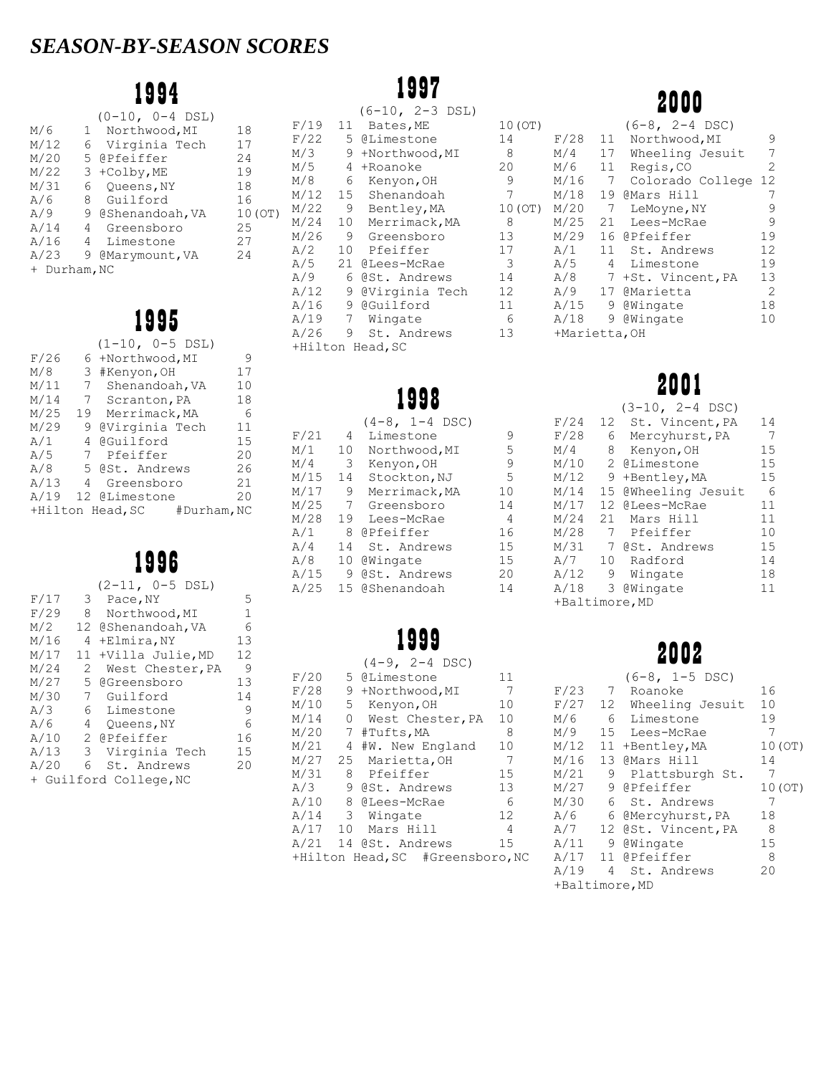# *SEASON-BY-SEASON SCORES*

# 1994

|              |              | $(0-10, 0-4$ DSL) |         |  |  |  |
|--------------|--------------|-------------------|---------|--|--|--|
| M/6          | $\mathbf{1}$ | Northwood, MI     | 18      |  |  |  |
| M/12         | 6            | Virginia Tech     | 17      |  |  |  |
| M/20         |              | 5 @Pfeiffer       | 24      |  |  |  |
| M/22         |              | 3 +Colby, ME      | 19      |  |  |  |
| M/31         | 6            | Oueens, NY        | 18      |  |  |  |
| A/6          | 8.           | Guilford          | 16      |  |  |  |
| A/9          |              | 9 @Shenandoah, VA | 10 (OT) |  |  |  |
| A/14         |              | 4 Greensboro      | 25      |  |  |  |
| A/16         | 4            | Limestone         | 27      |  |  |  |
| A/23         | 9            | @Marymount, VA    | 24      |  |  |  |
| + Durham, NC |              |                   |         |  |  |  |
|              |              |                   |         |  |  |  |

# 1995

|      |    | $(1-10, 0-5$ DSL)               |    |
|------|----|---------------------------------|----|
| F/26 | 6  | +Northwood, MI                  | 9  |
| M/8  |    | 3 #Kenyon, OH                   | 17 |
| M/11 | 7  | Shenandoah, VA                  | 10 |
| M/14 |    | 7 Scranton, PA                  | 18 |
| M/25 | 19 | Merrimack, MA                   | 6  |
| M/29 | 9  | @Virginia Tech                  | 11 |
| A/1  | 4  | @Guilford                       | 15 |
| A/5  | 7  | Pfeiffer                        | 20 |
| A/8  |    | 5 @St. Andrews                  | 26 |
| A/13 | 4  | Greensboro                      | 21 |
| A/19 |    | 12 @Limestone                   | 20 |
|      |    | +Hilton Head, SC<br>#Durham, NC |    |

# 1996

|      |               | $(2-11, 0-5$ DSL)      |    |
|------|---------------|------------------------|----|
| F/17 |               | 3 Pace, NY             | 5  |
| F/29 | 8             | Northwood, MI          | 1  |
| M/2  |               | 12 @Shenandoah, VA     | 6  |
| M/16 | 4             | +Elmira, NY            | 13 |
| M/17 | 11            | +Villa Julie, MD       | 12 |
| M/24 | 2             | West Chester, PA       | 9  |
| M/27 | 5             | GGreensboro            | 13 |
| M/30 | 7             | Guilford               | 14 |
| A/3  |               | 6 Limestone            | 9  |
| A/6  | 4             | Oueens, NY             | 6  |
| A/10 |               | 2 @Pfeiffer            | 16 |
| A/13 | $\mathcal{E}$ | Virginia Tech          | 15 |
| A/20 | 6             | St. Andrews            | 20 |
|      |               | + Guilford College, NC |    |

# 1997

|      |                 | $(6-10, 2-3$ DSL) |                   |
|------|-----------------|-------------------|-------------------|
| F/19 | 11              | Bates, ME         | 10 (OT)           |
| F/22 |                 | 5 @Limestone      | 14                |
| M/3  | 9               | +Northwood, MI    | 8                 |
| M/5  |                 | 4 +Roanoke        | 20                |
| M/8  | 6               | Kenyon, OH        | 9                 |
| M/12 | 15              | Shenandoah        | 7                 |
| M/22 | 9               | Bentley, MA       | 10 (OT)           |
| M/24 | 10 <sup>1</sup> | Merrimack, MA     | 8                 |
| M/26 |                 | 9 Greensboro      | 13                |
| A/2  | 10              | Pfeiffer          | 17                |
| A/5  |                 | 21 @Lees-McRae    | 3                 |
| A/9  | 6.              | @St. Andrews      | 14                |
| A/12 | 9               | @Virginia Tech    | $12 \overline{ }$ |
| A/16 |                 | 9 @Guilford       | 11                |
| A/19 | $7\phantom{0}$  | Wingate           | 6                 |
| A/26 | 9.              | St. Andrews       | 13                |
|      |                 | +Hilton Head, SC  |                   |
|      |                 |                   |                   |

# 1998

|      |    | $(4-8, 1-4$ DSC) |    |
|------|----|------------------|----|
| F/21 | 4  | Limestone        | 9  |
| M/1  | 10 | Northwood, MI    | 5  |
| M/4  | 3  | Kenyon, OH       | 9  |
| M/15 | 14 | Stockton, NJ     | 5  |
| M/17 | 9  | Merrimack, MA    | 10 |
| M/25 | 7  | Greensboro       | 14 |
| M/28 | 19 | Lees-McRae       | 4  |
| A/1  | 8  | @Pfeiffer        | 16 |
| A/4  | 14 | St. Andrews      | 15 |
| A/8  | 10 | @Wingate         | 15 |
| A/15 | 9  | @St. Andrews     | 20 |
| A/25 | 15 | @Shenandoah      | 14 |

# 1999

|       |              | $(4-9, 2-4$ DSC)                 |                |
|-------|--------------|----------------------------------|----------------|
| F/20  |              | 5 @Limestone                     | 11             |
| F/28  |              | 9 +Northwood, MI                 | - 7            |
| M/10  |              | 5 Kenyon, OH                     | 10             |
| M/14  | $\mathbf{0}$ | West Chester, PA                 | 10             |
| M/20  |              | 7 #Tufts,MA                      | 8              |
| M/21  |              | 4 #W. New England                | 10             |
| M/27  |              | 25 Marietta, OH                  | 7              |
| M/31  |              | 8 Pfeiffer                       | 15             |
| A/3 I | - 9          | @St. Andrews                     | 13             |
| A/10  |              | 8 @Lees-McRae                    | 6              |
| A/14  |              | 3 Wingate                        | 12             |
|       |              | A/17 10 Mars Hill                | $\overline{4}$ |
|       |              | A/21 14 @St. Andrews             | 15             |
|       |              | +Hilton Head, SC #Greensboro, NC |                |
|       |              |                                  |                |

# 2000

| OT) |               |                | (6-8, 2-4 DSC)   |                |
|-----|---------------|----------------|------------------|----------------|
|     | F/28          | 11             | Northwood, MI    | 9              |
|     | M/4           | 17             | Wheeling Jesuit  | 7              |
|     | M/6           | 11             | Regis, CO        | $\mathcal{L}$  |
|     | M/16          | 7              | Colorado College | 12             |
|     | M/18          | 19             | @Mars Hill       | 7              |
| OT) | M/20          | 7              | LeMoyne, NY      | 9              |
|     | M/25          | 21             | Lees-McRae       | 9              |
|     | M/29          | 16             | @Pfeiffer        | 19             |
|     | A/1           | 11             | St. Andrews      | 12             |
|     | A/5           | $\overline{4}$ | Limestone        | 19             |
|     | A/8           | 7              | +St. Vincent, PA | 13             |
|     | A/9           |                | 17 @Marietta     | $\mathfrak{D}$ |
|     | A/15          | 9              | <b>@Wingate</b>  | 18             |
|     | A/18          | 9              | @Wingate         | 10             |
|     | +Marietta, OH |                |                  |                |

# 2001

|                |                 | $(3-10, 2-4$ DSC) |    |
|----------------|-----------------|-------------------|----|
| F/24           | 12              | St. Vincent, PA   | 14 |
| F/28           | 6.              | Mercyhurst, PA    | 7  |
| M/4            | 8               | Kenyon, OH        | 15 |
| M/10           | 2               | CLimestone        | 15 |
| M/12           | 9               | +Bentley, MA      | 15 |
| M/14           | 15              | @Wheeling Jesuit  | 6  |
| M/17           | 12              | @Lees-McRae       | 11 |
| M/24           | 21              | Mars Hill         | 11 |
| M/28           | 7               | Pfeiffer          | 10 |
| M/31           | 7               | @St. Andrews      | 15 |
| A/7            | 10 <sup>1</sup> | Radford           | 14 |
| A/12           | 9               | Wingate           | 18 |
| A/18           | 3               | @Wingate          | 11 |
| +Baltimore, MD |                 |                   |    |

|                | ZUUZ        |                     |         |  |  |  |
|----------------|-------------|---------------------|---------|--|--|--|
|                |             | $(6-8, 1-5$ DSC)    |         |  |  |  |
| F/23           | $7^{\circ}$ | Roanoke             | 16      |  |  |  |
| F/27           |             | 12 Wheeling Jesuit  | 10      |  |  |  |
| M/6            |             | 6 Limestone         | 19      |  |  |  |
| M/9            |             | 15 Lees-McRae       | 7       |  |  |  |
| M/12           | 11          | +Bentley, MA        | 10 (OT) |  |  |  |
| M/16           |             | 13 @Mars Hill       | 14      |  |  |  |
| M/21           | 9           | Plattsburgh St.     | 7       |  |  |  |
| M/27           |             | 9 @Pfeiffer         | 10 (OT) |  |  |  |
| M/30           | 6           | St. Andrews         | 7       |  |  |  |
| A/6            |             | 6 @Mercyhurst, PA   | 18      |  |  |  |
| A/7            |             | 12 @St. Vincent, PA | 8       |  |  |  |
| A/11           |             | 9 @Wingate          | 15      |  |  |  |
|                |             | A/17 11 @Pfeiffer   | 8       |  |  |  |
| A/19           | 4           | St. Andrews         | 20      |  |  |  |
| +Baltimore, MD |             |                     |         |  |  |  |

2002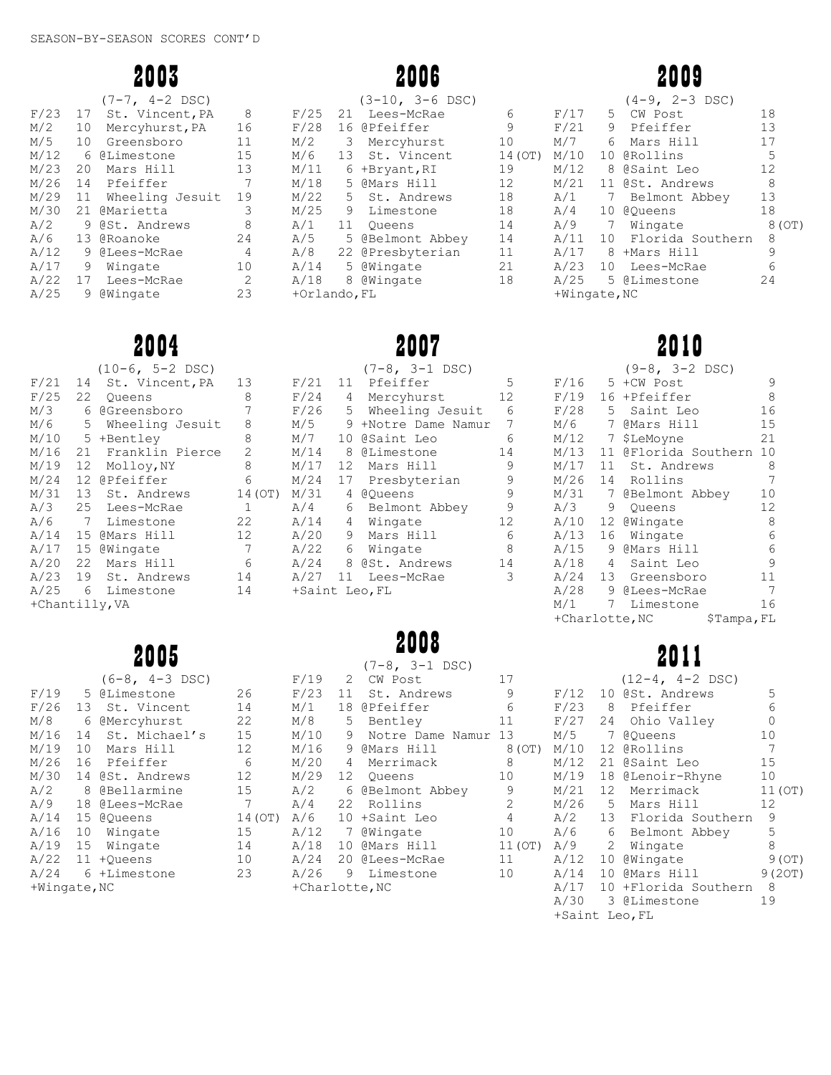2003

|      |    | $(7-7, 4-2$ DSC) |    |
|------|----|------------------|----|
| F/23 | 17 | St. Vincent, PA  | 8  |
| M/2  | 10 | Mercyhurst, PA   | 16 |
| M/5  | 10 | Greensboro       | 11 |
| M/12 | 6  | @Limestone       | 15 |
| M/23 | 20 | Mars Hill        | 13 |
| M/26 | 14 | Pfeiffer         | 7  |
| M/29 | 11 | Wheeling Jesuit  | 19 |
| M/30 | 21 | <b>@Marietta</b> | 3  |
| A/2  | 9  | @St. Andrews     | 8  |
| A/6  | 13 | @Roanoke         | 24 |
| A/12 | 9  | @Lees-McRae      | 4  |
| A/17 | 9  | Wingate          | 10 |
| A/22 | 17 | Lees-McRae       | 2  |
| A/25 | 9  | @Wingate         | 23 |
|      |    |                  |    |

# 2004

2005

|      |                | $(3-10, 3-6$ DSC) |        |
|------|----------------|-------------------|--------|
| F/25 | 21             | Lees-McRae        | 6      |
| F/28 |                | 16 @Pfeiffer      | 9      |
| M/2  | 3 <sup>7</sup> | Mercyhurst        | 10     |
| M/6  | 13             | St. Vincent       | 14 (OT |
| M/11 |                | 6 +Bryant, RI     | 19     |
| M/18 | 5              | @Mars Hill        | 12     |
| M/22 | $5 -$          | St. Andrews       | 18     |
| M/25 |                | 9 Limestone       | 18     |
| A/1  | 11             | Oueens            | 14     |
| A/5  | 5              | @Belmont Abbey    | 14     |
| A/8  | 22             | @Presbyterian     | 11     |
| A/14 | 5.             | @Wingate          | 21     |

# 2007

A/18 8 @Wingate 18

+Orlando,FL

|                |    | $(10-6, 5-2$ DSC) |                   |                |                 | $(7-8, 3-1$ DSC)    |     |
|----------------|----|-------------------|-------------------|----------------|-----------------|---------------------|-----|
| F/21           | 14 | St. Vincent, PA   | 13                | F/21           |                 | 11 Pfeiffer         | 5   |
| F/25           | 22 | Oueens            | 8                 | F/24           | 4               | Mercyhurst          | 12  |
| M/3            | 6  | @Greensboro       | 7                 | F/26           | 5               | Wheeling Jesuit     | - 6 |
| M/6            | 5  | Wheeling Jesuit   | 8                 | M/5            |                 | 9 +Notre Dame Namur | 7   |
| M/10           |    | 5 +Bentley        | 8                 | M/7            |                 | 10 @Saint Leo       | 6   |
| M/16           | 21 | Franklin Pierce   | 2                 | M/14           | 8               | CLimestone          | 14  |
| M/19           | 12 | Molloy, NY        | 8                 | M/17           | 12              | Mars Hill           | 9   |
| M/24           |    | 12 @Pfeiffer      | 6                 | M/24           | 17              | Presbyterian        | 9   |
| M/31           |    | 13 St. Andrews    | 14 (OT)           | M/31           | 4               | @Oueens             | 9   |
| A/3            |    | 25 Lees-McRae     | $\mathbf{1}$      | A/4            |                 | 6 Belmont Abbey     | 9   |
| $A/6$ 7        |    | Limestone         | 22                | A/14           | $4\overline{ }$ | Wingate             | 12  |
| A/14           |    | 15 @Mars Hill     | $12 \overline{ }$ | A/20           | 9               | Mars Hill           | 6   |
| A/17           |    | 15 @Wingate       | 7                 | A/22           | 6               | Wingate             | 8   |
| A/20           | 22 | Mars Hill         | 6                 |                |                 | A/24 8 @St. Andrews | 14  |
| A/23           | 19 | St. Andrews       | 14                | A/27           |                 | 11 Lees-McRae       | 3   |
| $A/25$ 6       |    | Limestone         | 14                | +Saint Leo, FL |                 |                     |     |
| +Chantilly, VA |    |                   |                   |                |                 |                     |     |

# 2008

|              |    | AUUJ             |                |                |                | $(7-8, 3-1$ DSC)    |                |                  |
|--------------|----|------------------|----------------|----------------|----------------|---------------------|----------------|------------------|
|              |    | $(6-8, 4-3$ DSC) |                | F/19           | $\overline{2}$ | CW Post             | 17             |                  |
| F/19         |    | 5 @Limestone     | 26             | F/23           | 11             | St. Andrews         | 9              | F/2              |
| F/26         |    | 13 St. Vincent   | 14             | M/1            | 18             | @Pfeiffer           | 6              | F/2              |
| M/8          |    | 6 @Mercyhurst    | 22             | M/8            | 5              | Bentley             | 11             | F/2              |
| M/16         | 14 | St. Michael's    | 15             | M/10           | 9              | Notre Dame Namur 13 |                | M/5              |
| M/19         | 10 | Mars Hill        | 12             | M/16           | 9              | @Mars Hill          | 8(OT)          | M/2              |
| M/26         | 16 | Pfeiffer         | 6              | M/20           | 4              | Merrimack           | 8              | M/2              |
| M/30         |    | 14 @St. Andrews  | 12             | M/29           | 12             | Oueens              | 10             | M/2              |
| A/2          |    | 8 @Bellarmine    | 15             | A/2            |                | 6 @Belmont Abbey    | 9              | M/2              |
| A/9          |    | 18 @Lees-McRae   | $\overline{7}$ | A/4            | 22             | Rollins             | 2              | M/2              |
| A/14         |    | 15 @Oueens       | 14 (OT)        | A/6            |                | 10 +Saint Leo       | $\overline{4}$ | A/2              |
| A/16         | 10 | Wingate          | 15             | A/12           |                | 7 @Wingate          | 10             | A/6              |
| A/19         | 15 | Wingate          | 14             | A/18           |                | 10 @Mars Hill       | 11 (OT)        | A/9              |
| A/22         |    | 11 +Oueens       | 10             | A/24           |                | 20 @Lees-McRae      | 11             | A/1              |
| A/24         |    | 6 +Limestone     | 23             | A/26           |                | 9 Limestone         | 10             | A/2              |
| +Wingate, NC |    |                  |                | +Charlotte, NC |                |                     |                | A/2              |
|              |    |                  |                |                |                |                     |                | $\pi$ / $\gamma$ |

# 2009

|              |                 | $(4-9, 2-3$ DSC)    |        |
|--------------|-----------------|---------------------|--------|
| F/17         |                 | 5 CW Post           | 18     |
| F/21         |                 | 9 Pfeiffer          | 13     |
| M/7          |                 | 6 Mars Hill         | 17     |
| M/10         |                 | 10 @Rollins         | 5      |
| M/12         |                 | 8 @Saint Leo        | 12     |
| M/21         |                 | 11 @St. Andrews     | 8      |
| A/1          | 7               | Belmont Abbey       | 13     |
| A/4          | 10              | @Oueens             | 18     |
| A/9          |                 | 7 Wingate           | 8 (OT) |
| A/11         |                 | 10 Florida Southern | 8      |
| A/17         |                 | 8 +Mars Hill        | 9      |
| A/23         | 10 <sup>1</sup> | Lees-McRae          | 6      |
| A/25         |                 | 5 @Limestone        | 24     |
| +Wingate, NC |                 |                     |        |

# 2010

|                              |                 | $(9-8, 3-2$ DSC)  |    |  |
|------------------------------|-----------------|-------------------|----|--|
| F/16                         | 5.              | +CW Post          | 9  |  |
| F/19                         | 16              | +Pfeiffer         | 8  |  |
| F/28                         | 5               | Saint Leo         | 16 |  |
| M/6                          | $7^{\circ}$     | @Mars Hill        | 15 |  |
| M/12                         | $7\phantom{.}$  | \$LeMoyne         | 21 |  |
| M/13                         | 11              | @Florida Southern | 10 |  |
| M/17                         | 11 <sup>1</sup> | St. Andrews       | 8  |  |
| M/26                         | 14              | Rollins           | 7  |  |
| M/31                         | 7               | @Belmont Abbey    | 10 |  |
| A/3                          | 9               | Oueens            | 12 |  |
| A/10                         | 12              | @Wingate          | 8  |  |
| A/13                         | 16              | Wingate           | 6  |  |
| A/15                         | 9               | @Mars Hill        | 6  |  |
| A/18                         | 4               | Saint Leo         | 9  |  |
| A/24                         | 13              | Greensboro        | 11 |  |
| A/28                         | 9               | @Lees-McRae       | 7  |  |
| M/1                          | 7               | Limestone         | 16 |  |
| +Charlotte, NC<br>\$Tampa,FL |                 |                   |    |  |

# 2011

|                |                | $(12-4, 4-2$ DSC)         |         |
|----------------|----------------|---------------------------|---------|
| F/12           |                | 10 @St. Andrews           | 5       |
| F/23           |                | 8 Pfeiffer                | 6       |
| F/27           | 24             | Ohio Valley               | 0       |
| M/5            | $\overline{7}$ | @Oueens                   | 10      |
| M/10           |                | 12 @Rollins               | 7       |
| M/12           |                | 21 @Saint Leo             | 15      |
| M/19           |                | 18 @Lenoir-Rhyne          | 10      |
| M/21           |                | 12 Merrimack              | 11 (OT) |
| M/26           |                | 5 Mars Hill               | 12      |
| A/2            |                | 13 Florida Southern       | 9       |
| A/6            |                | 6 Belmont Abbey           | 5       |
| A/9            |                | 2 Wingate                 | 8       |
|                |                | $A/12$ 10 @Wingate        | 9(0T)   |
| A/14           |                | 10 @Mars Hill             | 9 (20T) |
|                |                | A/17 10 +Florida Southern | 8       |
| A/30           |                | 3 @Limestone              | 19      |
| +Saint Leo, FL |                |                           |         |